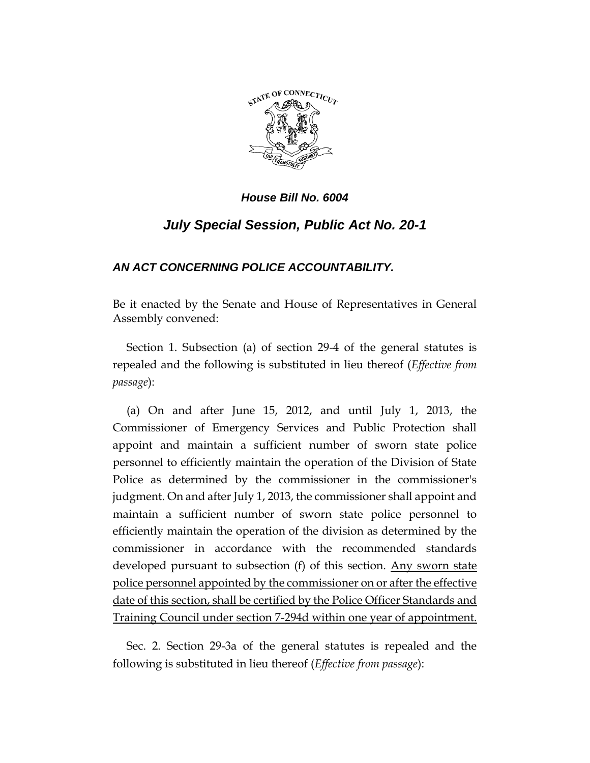

# *July Special Session, Public Act No. 20-1*

## *AN ACT CONCERNING POLICE ACCOUNTABILITY.*

Be it enacted by the Senate and House of Representatives in General Assembly convened:

Section 1. Subsection (a) of section 29-4 of the general statutes is repealed and the following is substituted in lieu thereof (*Effective from passage*):

(a) On and after June 15, 2012, and until July 1, 2013, the Commissioner of Emergency Services and Public Protection shall appoint and maintain a sufficient number of sworn state police personnel to efficiently maintain the operation of the Division of State Police as determined by the commissioner in the commissioner's judgment. On and after July 1, 2013, the commissioner shall appoint and maintain a sufficient number of sworn state police personnel to efficiently maintain the operation of the division as determined by the commissioner in accordance with the recommended standards developed pursuant to subsection (f) of this section. Any sworn state police personnel appointed by the commissioner on or after the effective date of this section, shall be certified by the Police Officer Standards and Training Council under section 7-294d within one year of appointment.

Sec. 2. Section 29-3a of the general statutes is repealed and the following is substituted in lieu thereof (*Effective from passage*):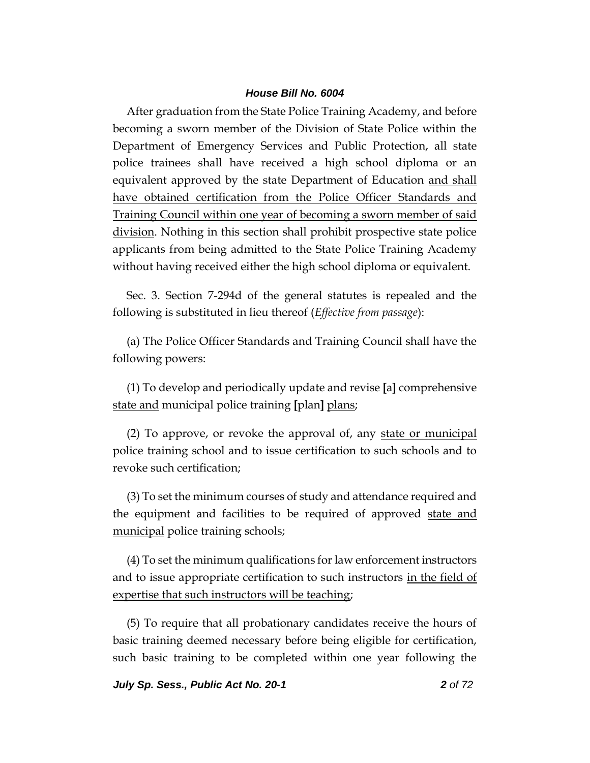After graduation from the State Police Training Academy, and before becoming a sworn member of the Division of State Police within the Department of Emergency Services and Public Protection, all state police trainees shall have received a high school diploma or an equivalent approved by the state Department of Education and shall have obtained certification from the Police Officer Standards and Training Council within one year of becoming a sworn member of said division. Nothing in this section shall prohibit prospective state police applicants from being admitted to the State Police Training Academy without having received either the high school diploma or equivalent.

Sec. 3. Section 7-294d of the general statutes is repealed and the following is substituted in lieu thereof (*Effective from passage*):

(a) The Police Officer Standards and Training Council shall have the following powers:

(1) To develop and periodically update and revise **[**a**]** comprehensive state and municipal police training **[**plan**]** plans;

(2) To approve, or revoke the approval of, any state or municipal police training school and to issue certification to such schools and to revoke such certification;

(3) To set the minimum courses of study and attendance required and the equipment and facilities to be required of approved state and municipal police training schools;

(4) To set the minimum qualifications for law enforcement instructors and to issue appropriate certification to such instructors in the field of expertise that such instructors will be teaching;

(5) To require that all probationary candidates receive the hours of basic training deemed necessary before being eligible for certification, such basic training to be completed within one year following the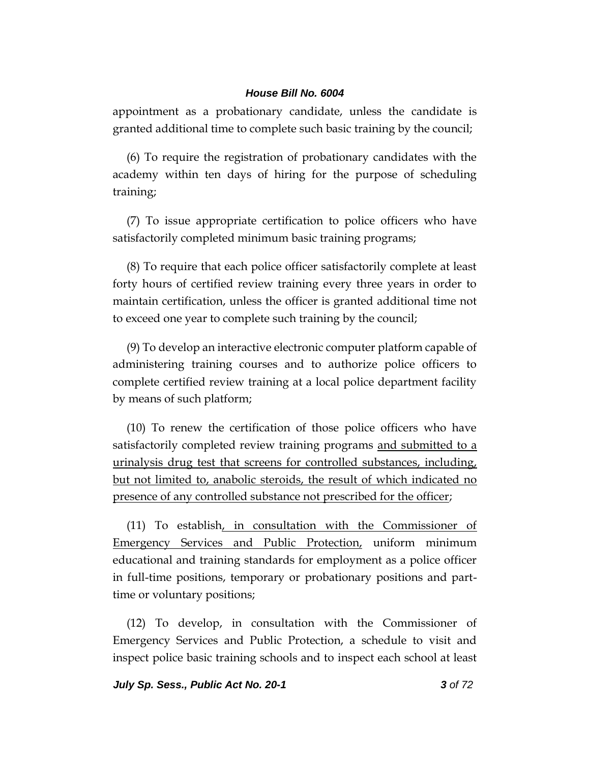appointment as a probationary candidate, unless the candidate is granted additional time to complete such basic training by the council;

(6) To require the registration of probationary candidates with the academy within ten days of hiring for the purpose of scheduling training;

(7) To issue appropriate certification to police officers who have satisfactorily completed minimum basic training programs;

(8) To require that each police officer satisfactorily complete at least forty hours of certified review training every three years in order to maintain certification, unless the officer is granted additional time not to exceed one year to complete such training by the council;

(9) To develop an interactive electronic computer platform capable of administering training courses and to authorize police officers to complete certified review training at a local police department facility by means of such platform;

(10) To renew the certification of those police officers who have satisfactorily completed review training programs and submitted to a urinalysis drug test that screens for controlled substances, including, but not limited to, anabolic steroids, the result of which indicated no presence of any controlled substance not prescribed for the officer;

(11) To establish, in consultation with the Commissioner of Emergency Services and Public Protection, uniform minimum educational and training standards for employment as a police officer in full-time positions, temporary or probationary positions and parttime or voluntary positions;

(12) To develop, in consultation with the Commissioner of Emergency Services and Public Protection, a schedule to visit and inspect police basic training schools and to inspect each school at least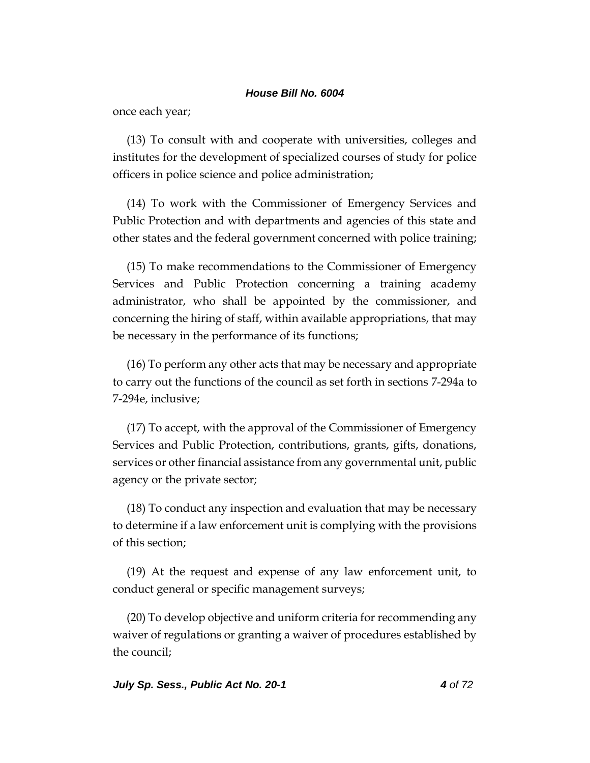once each year;

(13) To consult with and cooperate with universities, colleges and institutes for the development of specialized courses of study for police officers in police science and police administration;

(14) To work with the Commissioner of Emergency Services and Public Protection and with departments and agencies of this state and other states and the federal government concerned with police training;

(15) To make recommendations to the Commissioner of Emergency Services and Public Protection concerning a training academy administrator, who shall be appointed by the commissioner, and concerning the hiring of staff, within available appropriations, that may be necessary in the performance of its functions;

(16) To perform any other acts that may be necessary and appropriate to carry out the functions of the council as set forth in sections 7-294a to 7-294e, inclusive;

(17) To accept, with the approval of the Commissioner of Emergency Services and Public Protection, contributions, grants, gifts, donations, services or other financial assistance from any governmental unit, public agency or the private sector;

(18) To conduct any inspection and evaluation that may be necessary to determine if a law enforcement unit is complying with the provisions of this section;

(19) At the request and expense of any law enforcement unit, to conduct general or specific management surveys;

(20) To develop objective and uniform criteria for recommending any waiver of regulations or granting a waiver of procedures established by the council;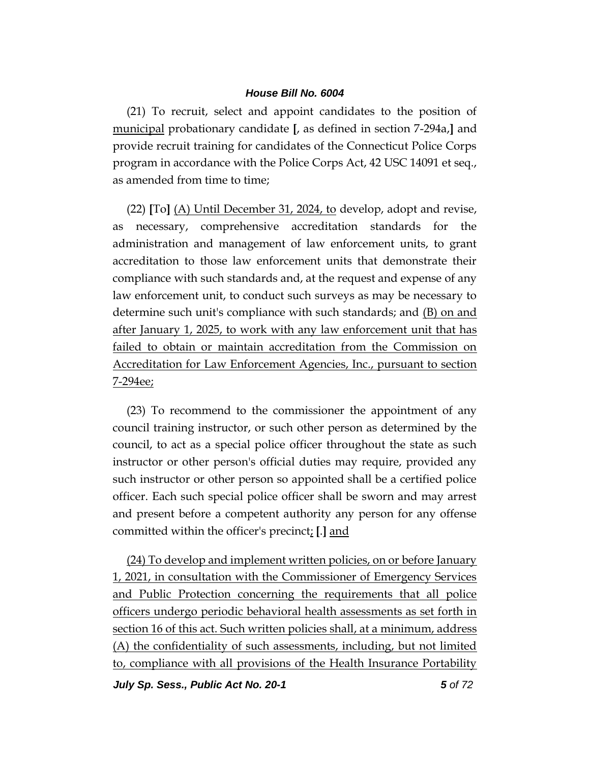(21) To recruit, select and appoint candidates to the position of municipal probationary candidate **[**, as defined in section 7-294a,**]** and provide recruit training for candidates of the Connecticut Police Corps program in accordance with the Police Corps Act, 42 USC 14091 et seq., as amended from time to time;

(22) **[**To**]** (A) Until December 31, 2024, to develop, adopt and revise, as necessary, comprehensive accreditation standards for the administration and management of law enforcement units, to grant accreditation to those law enforcement units that demonstrate their compliance with such standards and, at the request and expense of any law enforcement unit, to conduct such surveys as may be necessary to determine such unit's compliance with such standards; and (B) on and after January 1, 2025, to work with any law enforcement unit that has failed to obtain or maintain accreditation from the Commission on Accreditation for Law Enforcement Agencies, Inc., pursuant to section 7-294ee;

(23) To recommend to the commissioner the appointment of any council training instructor, or such other person as determined by the council, to act as a special police officer throughout the state as such instructor or other person's official duties may require, provided any such instructor or other person so appointed shall be a certified police officer. Each such special police officer shall be sworn and may arrest and present before a competent authority any person for any offense committed within the officer's precinct; **[**.**]** and

(24) To develop and implement written policies, on or before January 1, 2021, in consultation with the Commissioner of Emergency Services and Public Protection concerning the requirements that all police officers undergo periodic behavioral health assessments as set forth in section 16 of this act. Such written policies shall, at a minimum, address (A) the confidentiality of such assessments, including, but not limited to, compliance with all provisions of the Health Insurance Portability

*July Sp. Sess., Public Act No. 20-1 5 of 72*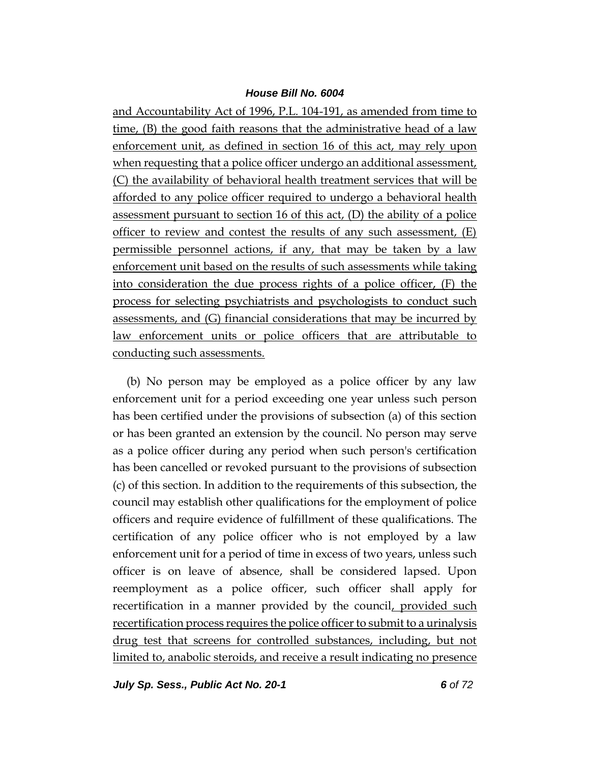and Accountability Act of 1996, P.L. 104-191, as amended from time to time, (B) the good faith reasons that the administrative head of a law enforcement unit, as defined in section 16 of this act, may rely upon when requesting that a police officer undergo an additional assessment, (C) the availability of behavioral health treatment services that will be afforded to any police officer required to undergo a behavioral health assessment pursuant to section 16 of this act, (D) the ability of a police officer to review and contest the results of any such assessment, (E) permissible personnel actions, if any, that may be taken by a law enforcement unit based on the results of such assessments while taking into consideration the due process rights of a police officer, (F) the process for selecting psychiatrists and psychologists to conduct such assessments, and (G) financial considerations that may be incurred by law enforcement units or police officers that are attributable to conducting such assessments.

(b) No person may be employed as a police officer by any law enforcement unit for a period exceeding one year unless such person has been certified under the provisions of subsection (a) of this section or has been granted an extension by the council. No person may serve as a police officer during any period when such person's certification has been cancelled or revoked pursuant to the provisions of subsection (c) of this section. In addition to the requirements of this subsection, the council may establish other qualifications for the employment of police officers and require evidence of fulfillment of these qualifications. The certification of any police officer who is not employed by a law enforcement unit for a period of time in excess of two years, unless such officer is on leave of absence, shall be considered lapsed. Upon reemployment as a police officer, such officer shall apply for recertification in a manner provided by the council, provided such recertification process requires the police officer to submit to a urinalysis drug test that screens for controlled substances, including, but not limited to, anabolic steroids, and receive a result indicating no presence

*July Sp. Sess., Public Act No. 20-1 6 of 72*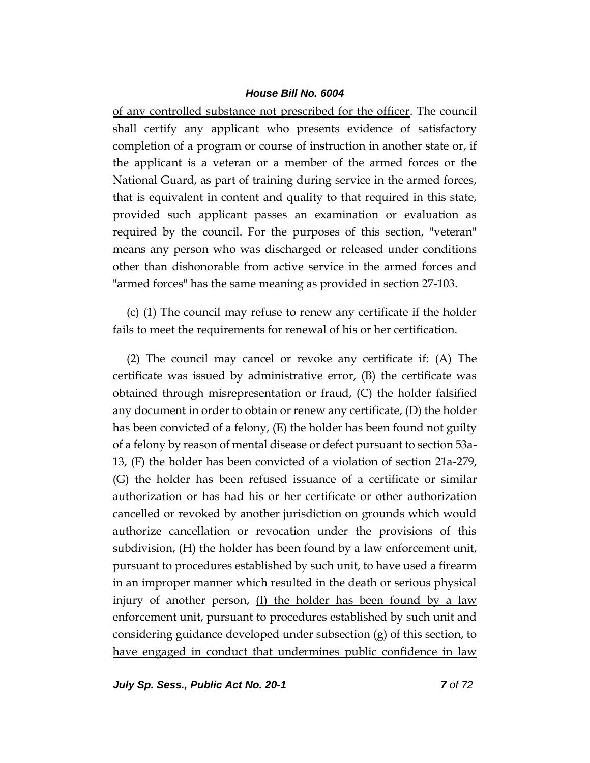of any controlled substance not prescribed for the officer. The council shall certify any applicant who presents evidence of satisfactory completion of a program or course of instruction in another state or, if the applicant is a veteran or a member of the armed forces or the National Guard, as part of training during service in the armed forces, that is equivalent in content and quality to that required in this state, provided such applicant passes an examination or evaluation as required by the council. For the purposes of this section, "veteran" means any person who was discharged or released under conditions other than dishonorable from active service in the armed forces and "armed forces" has the same meaning as provided in section 27-103.

(c) (1) The council may refuse to renew any certificate if the holder fails to meet the requirements for renewal of his or her certification.

(2) The council may cancel or revoke any certificate if: (A) The certificate was issued by administrative error, (B) the certificate was obtained through misrepresentation or fraud, (C) the holder falsified any document in order to obtain or renew any certificate, (D) the holder has been convicted of a felony, (E) the holder has been found not guilty of a felony by reason of mental disease or defect pursuant to section 53a-13, (F) the holder has been convicted of a violation of section 21a-279, (G) the holder has been refused issuance of a certificate or similar authorization or has had his or her certificate or other authorization cancelled or revoked by another jurisdiction on grounds which would authorize cancellation or revocation under the provisions of this subdivision, (H) the holder has been found by a law enforcement unit, pursuant to procedures established by such unit, to have used a firearm in an improper manner which resulted in the death or serious physical injury of another person,  $(I)$  the holder has been found by a law enforcement unit, pursuant to procedures established by such unit and considering guidance developed under subsection (g) of this section, to have engaged in conduct that undermines public confidence in law

*July Sp. Sess., Public Act No. 20-1 7 of 72*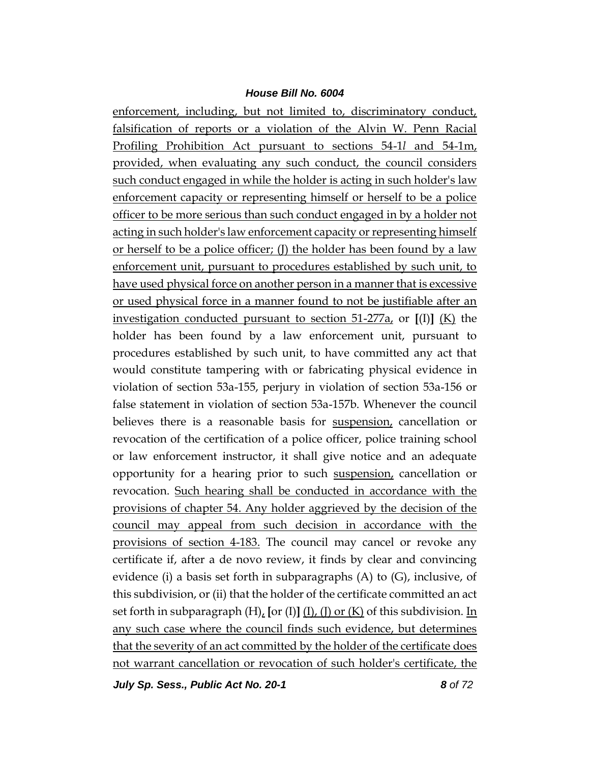enforcement, including, but not limited to, discriminatory conduct, falsification of reports or a violation of the Alvin W. Penn Racial Profiling Prohibition Act pursuant to sections 54-1*l* and 54-1m, provided, when evaluating any such conduct, the council considers such conduct engaged in while the holder is acting in such holder's law enforcement capacity or representing himself or herself to be a police officer to be more serious than such conduct engaged in by a holder not acting in such holder's law enforcement capacity or representing himself or herself to be a police officer; (J) the holder has been found by a law enforcement unit, pursuant to procedures established by such unit, to have used physical force on another person in a manner that is excessive or used physical force in a manner found to not be justifiable after an investigation conducted pursuant to section 51-277a, or **[**(I)**]** (K) the holder has been found by a law enforcement unit, pursuant to procedures established by such unit, to have committed any act that would constitute tampering with or fabricating physical evidence in violation of section 53a-155, perjury in violation of section 53a-156 or false statement in violation of section 53a-157b. Whenever the council believes there is a reasonable basis for suspension, cancellation or revocation of the certification of a police officer, police training school or law enforcement instructor, it shall give notice and an adequate opportunity for a hearing prior to such suspension, cancellation or revocation. Such hearing shall be conducted in accordance with the provisions of chapter 54. Any holder aggrieved by the decision of the council may appeal from such decision in accordance with the provisions of section 4-183. The council may cancel or revoke any certificate if, after a de novo review, it finds by clear and convincing evidence (i) a basis set forth in subparagraphs (A) to (G), inclusive, of this subdivision, or (ii) that the holder of the certificate committed an act set forth in subparagraph (H), **[**or (I)**]** (I), (J) or (K) of this subdivision. In any such case where the council finds such evidence, but determines that the severity of an act committed by the holder of the certificate does not warrant cancellation or revocation of such holder's certificate, the

*July Sp. Sess., Public Act No. 20-1 8 of 72*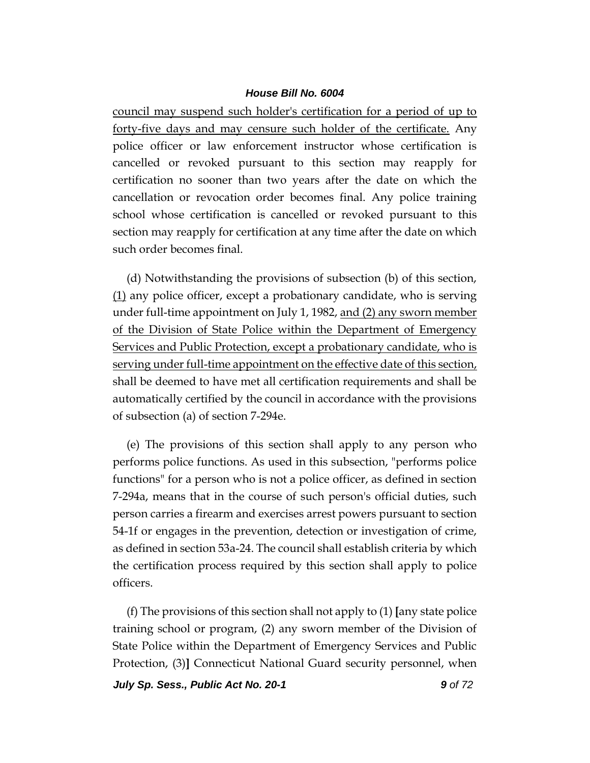council may suspend such holder's certification for a period of up to forty-five days and may censure such holder of the certificate. Any police officer or law enforcement instructor whose certification is cancelled or revoked pursuant to this section may reapply for certification no sooner than two years after the date on which the cancellation or revocation order becomes final. Any police training school whose certification is cancelled or revoked pursuant to this section may reapply for certification at any time after the date on which such order becomes final.

(d) Notwithstanding the provisions of subsection (b) of this section, (1) any police officer, except a probationary candidate, who is serving under full-time appointment on July 1, 1982, and (2) any sworn member of the Division of State Police within the Department of Emergency Services and Public Protection, except a probationary candidate, who is serving under full-time appointment on the effective date of this section, shall be deemed to have met all certification requirements and shall be automatically certified by the council in accordance with the provisions of subsection (a) of section 7-294e.

(e) The provisions of this section shall apply to any person who performs police functions. As used in this subsection, "performs police functions" for a person who is not a police officer, as defined in section 7-294a, means that in the course of such person's official duties, such person carries a firearm and exercises arrest powers pursuant to section 54-1f or engages in the prevention, detection or investigation of crime, as defined in section 53a-24. The council shall establish criteria by which the certification process required by this section shall apply to police officers.

(f) The provisions of this section shall not apply to (1) **[**any state police training school or program, (2) any sworn member of the Division of State Police within the Department of Emergency Services and Public Protection, (3)**]** Connecticut National Guard security personnel, when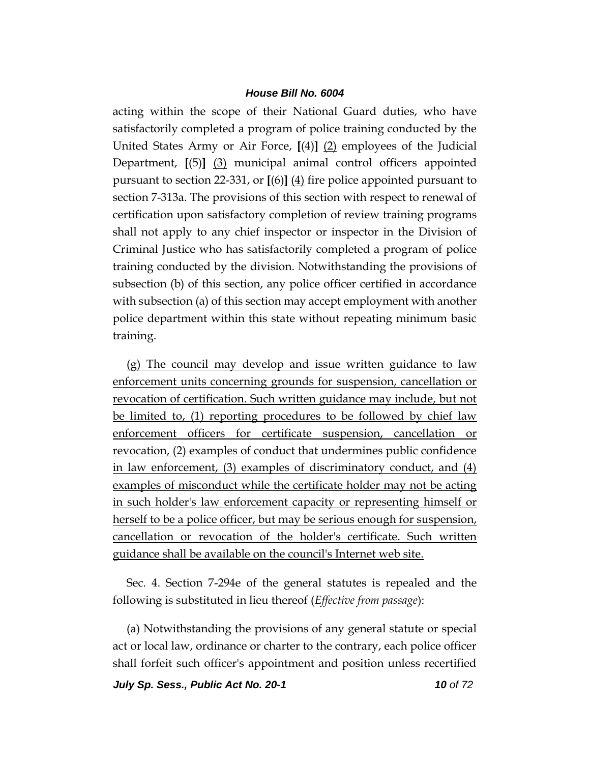acting within the scope of their National Guard duties, who have satisfactorily completed a program of police training conducted by the United States Army or Air Force, **[**(4)**]** (2) employees of the Judicial Department, **[**(5)**]** (3) municipal animal control officers appointed pursuant to section 22-331, or **[**(6)**]** (4) fire police appointed pursuant to section 7-313a. The provisions of this section with respect to renewal of certification upon satisfactory completion of review training programs shall not apply to any chief inspector or inspector in the Division of Criminal Justice who has satisfactorily completed a program of police training conducted by the division. Notwithstanding the provisions of subsection (b) of this section, any police officer certified in accordance with subsection (a) of this section may accept employment with another police department within this state without repeating minimum basic training.

(g) The council may develop and issue written guidance to law enforcement units concerning grounds for suspension, cancellation or revocation of certification. Such written guidance may include, but not be limited to, (1) reporting procedures to be followed by chief law enforcement officers for certificate suspension, cancellation or revocation, (2) examples of conduct that undermines public confidence in law enforcement, (3) examples of discriminatory conduct, and (4) examples of misconduct while the certificate holder may not be acting in such holder's law enforcement capacity or representing himself or herself to be a police officer, but may be serious enough for suspension, cancellation or revocation of the holder's certificate. Such written guidance shall be available on the council's Internet web site.

Sec. 4. Section 7-294e of the general statutes is repealed and the following is substituted in lieu thereof (*Effective from passage*):

(a) Notwithstanding the provisions of any general statute or special act or local law, ordinance or charter to the contrary, each police officer shall forfeit such officer's appointment and position unless recertified

*July Sp. Sess., Public Act No. 20-1 10 of 72*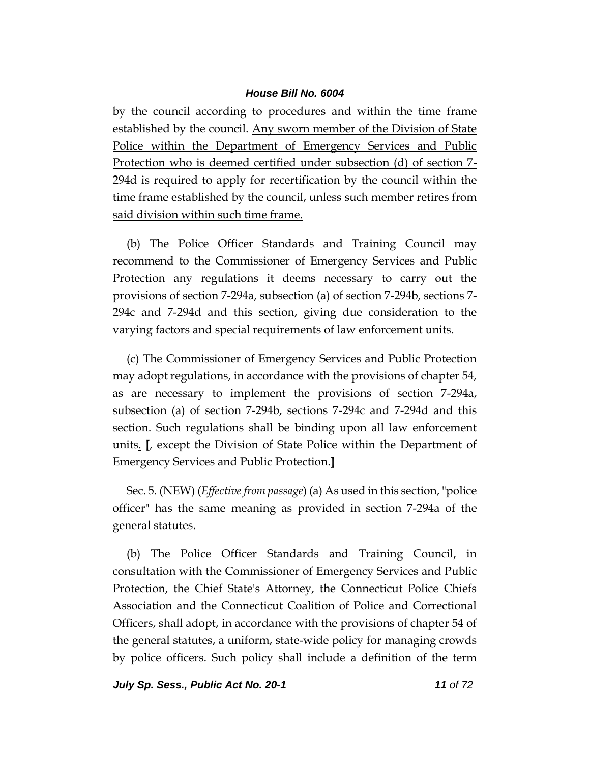by the council according to procedures and within the time frame established by the council. Any sworn member of the Division of State Police within the Department of Emergency Services and Public Protection who is deemed certified under subsection (d) of section 7- 294d is required to apply for recertification by the council within the time frame established by the council, unless such member retires from said division within such time frame.

(b) The Police Officer Standards and Training Council may recommend to the Commissioner of Emergency Services and Public Protection any regulations it deems necessary to carry out the provisions of section 7-294a, subsection (a) of section 7-294b, sections 7- 294c and 7-294d and this section, giving due consideration to the varying factors and special requirements of law enforcement units.

(c) The Commissioner of Emergency Services and Public Protection may adopt regulations, in accordance with the provisions of chapter 54, as are necessary to implement the provisions of section 7-294a, subsection (a) of section 7-294b, sections 7-294c and 7-294d and this section. Such regulations shall be binding upon all law enforcement units. **[**, except the Division of State Police within the Department of Emergency Services and Public Protection.**]**

Sec. 5. (NEW) (*Effective from passage*) (a) As used in this section, "police officer" has the same meaning as provided in section 7-294a of the general statutes.

(b) The Police Officer Standards and Training Council, in consultation with the Commissioner of Emergency Services and Public Protection, the Chief State's Attorney, the Connecticut Police Chiefs Association and the Connecticut Coalition of Police and Correctional Officers, shall adopt, in accordance with the provisions of chapter 54 of the general statutes, a uniform, state-wide policy for managing crowds by police officers. Such policy shall include a definition of the term

*July Sp. Sess., Public Act No. 20-1 11 of 72*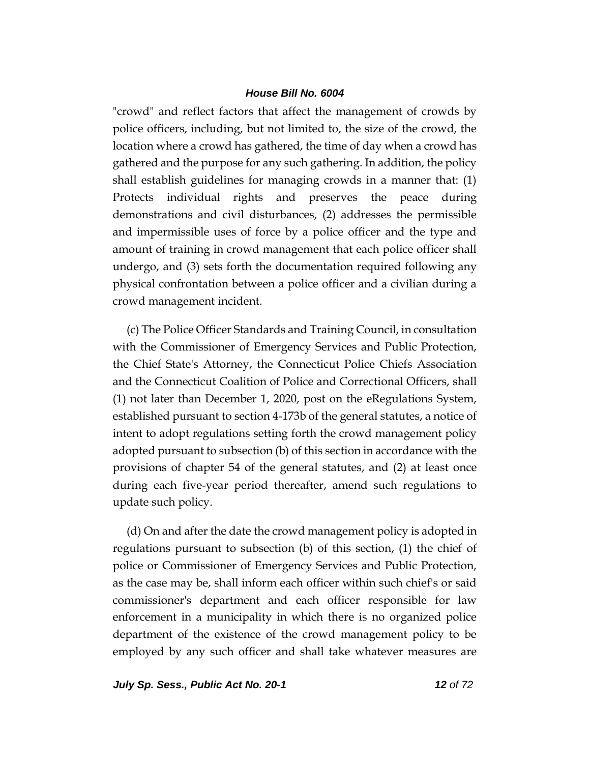"crowd" and reflect factors that affect the management of crowds by police officers, including, but not limited to, the size of the crowd, the location where a crowd has gathered, the time of day when a crowd has gathered and the purpose for any such gathering. In addition, the policy shall establish guidelines for managing crowds in a manner that: (1) Protects individual rights and preserves the peace during demonstrations and civil disturbances, (2) addresses the permissible and impermissible uses of force by a police officer and the type and amount of training in crowd management that each police officer shall undergo, and (3) sets forth the documentation required following any physical confrontation between a police officer and a civilian during a crowd management incident.

(c) The Police Officer Standards and Training Council, in consultation with the Commissioner of Emergency Services and Public Protection, the Chief State's Attorney, the Connecticut Police Chiefs Association and the Connecticut Coalition of Police and Correctional Officers, shall (1) not later than December 1, 2020, post on the eRegulations System, established pursuant to section 4-173b of the general statutes, a notice of intent to adopt regulations setting forth the crowd management policy adopted pursuant to subsection (b) of this section in accordance with the provisions of chapter 54 of the general statutes, and (2) at least once during each five-year period thereafter, amend such regulations to update such policy.

(d) On and after the date the crowd management policy is adopted in regulations pursuant to subsection (b) of this section, (1) the chief of police or Commissioner of Emergency Services and Public Protection, as the case may be, shall inform each officer within such chief's or said commissioner's department and each officer responsible for law enforcement in a municipality in which there is no organized police department of the existence of the crowd management policy to be employed by any such officer and shall take whatever measures are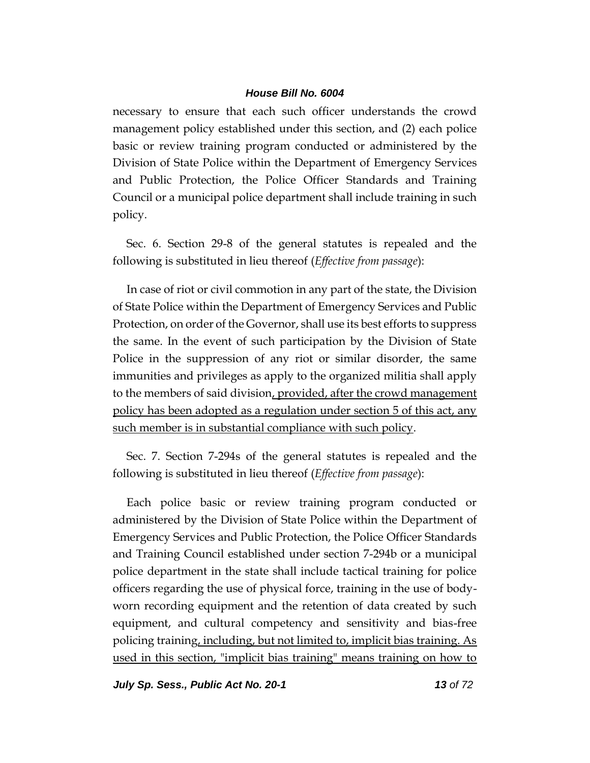necessary to ensure that each such officer understands the crowd management policy established under this section, and (2) each police basic or review training program conducted or administered by the Division of State Police within the Department of Emergency Services and Public Protection, the Police Officer Standards and Training Council or a municipal police department shall include training in such policy.

Sec. 6. Section 29-8 of the general statutes is repealed and the following is substituted in lieu thereof (*Effective from passage*):

In case of riot or civil commotion in any part of the state, the Division of State Police within the Department of Emergency Services and Public Protection, on order of the Governor, shall use its best efforts to suppress the same. In the event of such participation by the Division of State Police in the suppression of any riot or similar disorder, the same immunities and privileges as apply to the organized militia shall apply to the members of said division, provided, after the crowd management policy has been adopted as a regulation under section 5 of this act, any such member is in substantial compliance with such policy.

Sec. 7. Section 7-294s of the general statutes is repealed and the following is substituted in lieu thereof (*Effective from passage*):

Each police basic or review training program conducted or administered by the Division of State Police within the Department of Emergency Services and Public Protection, the Police Officer Standards and Training Council established under section 7-294b or a municipal police department in the state shall include tactical training for police officers regarding the use of physical force, training in the use of bodyworn recording equipment and the retention of data created by such equipment, and cultural competency and sensitivity and bias-free policing training, including, but not limited to, implicit bias training. As used in this section, "implicit bias training" means training on how to

*July Sp. Sess., Public Act No. 20-1 13 of 72*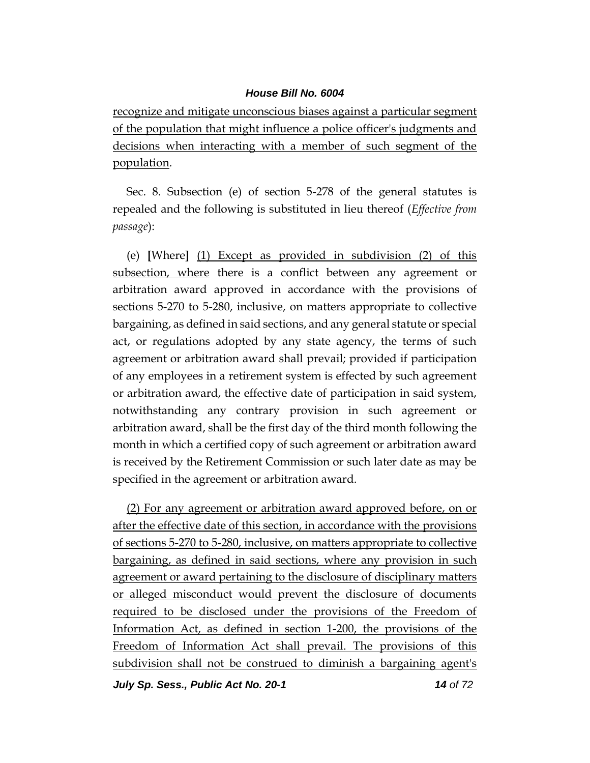recognize and mitigate unconscious biases against a particular segment of the population that might influence a police officer's judgments and decisions when interacting with a member of such segment of the population.

Sec. 8. Subsection (e) of section 5-278 of the general statutes is repealed and the following is substituted in lieu thereof (*Effective from passage*):

(e) **[**Where**]** (1) Except as provided in subdivision (2) of this subsection, where there is a conflict between any agreement or arbitration award approved in accordance with the provisions of sections 5-270 to 5-280, inclusive, on matters appropriate to collective bargaining, as defined in said sections, and any general statute or special act, or regulations adopted by any state agency, the terms of such agreement or arbitration award shall prevail; provided if participation of any employees in a retirement system is effected by such agreement or arbitration award, the effective date of participation in said system, notwithstanding any contrary provision in such agreement or arbitration award, shall be the first day of the third month following the month in which a certified copy of such agreement or arbitration award is received by the Retirement Commission or such later date as may be specified in the agreement or arbitration award.

(2) For any agreement or arbitration award approved before, on or after the effective date of this section, in accordance with the provisions of sections 5-270 to 5-280, inclusive, on matters appropriate to collective bargaining, as defined in said sections, where any provision in such agreement or award pertaining to the disclosure of disciplinary matters or alleged misconduct would prevent the disclosure of documents required to be disclosed under the provisions of the Freedom of Information Act, as defined in section 1-200, the provisions of the Freedom of Information Act shall prevail. The provisions of this subdivision shall not be construed to diminish a bargaining agent's

*July Sp. Sess., Public Act No. 20-1 14 of 72*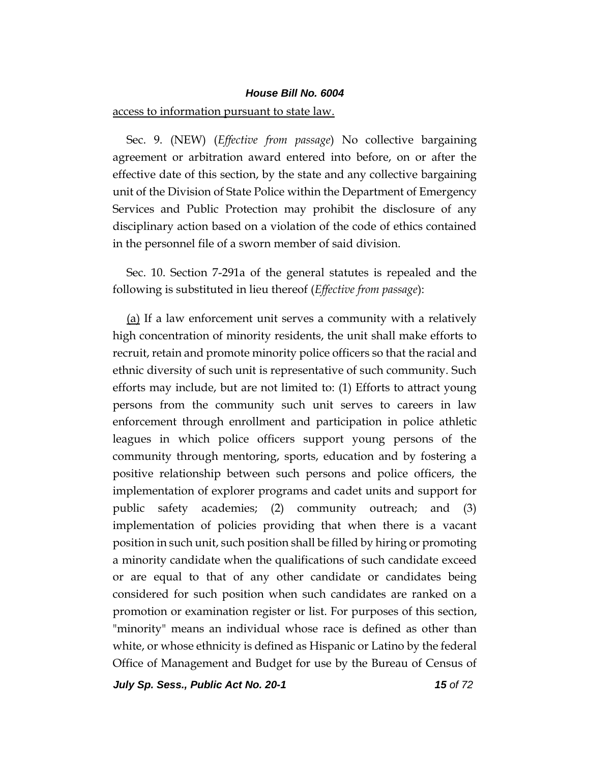### access to information pursuant to state law.

Sec. 9. (NEW) (*Effective from passage*) No collective bargaining agreement or arbitration award entered into before, on or after the effective date of this section, by the state and any collective bargaining unit of the Division of State Police within the Department of Emergency Services and Public Protection may prohibit the disclosure of any disciplinary action based on a violation of the code of ethics contained in the personnel file of a sworn member of said division.

Sec. 10. Section 7-291a of the general statutes is repealed and the following is substituted in lieu thereof (*Effective from passage*):

(a) If a law enforcement unit serves a community with a relatively high concentration of minority residents, the unit shall make efforts to recruit, retain and promote minority police officers so that the racial and ethnic diversity of such unit is representative of such community. Such efforts may include, but are not limited to: (1) Efforts to attract young persons from the community such unit serves to careers in law enforcement through enrollment and participation in police athletic leagues in which police officers support young persons of the community through mentoring, sports, education and by fostering a positive relationship between such persons and police officers, the implementation of explorer programs and cadet units and support for public safety academies; (2) community outreach; and (3) implementation of policies providing that when there is a vacant position in such unit, such position shall be filled by hiring or promoting a minority candidate when the qualifications of such candidate exceed or are equal to that of any other candidate or candidates being considered for such position when such candidates are ranked on a promotion or examination register or list. For purposes of this section, "minority" means an individual whose race is defined as other than white, or whose ethnicity is defined as Hispanic or Latino by the federal Office of Management and Budget for use by the Bureau of Census of

*July Sp. Sess., Public Act No. 20-1 15 of 72*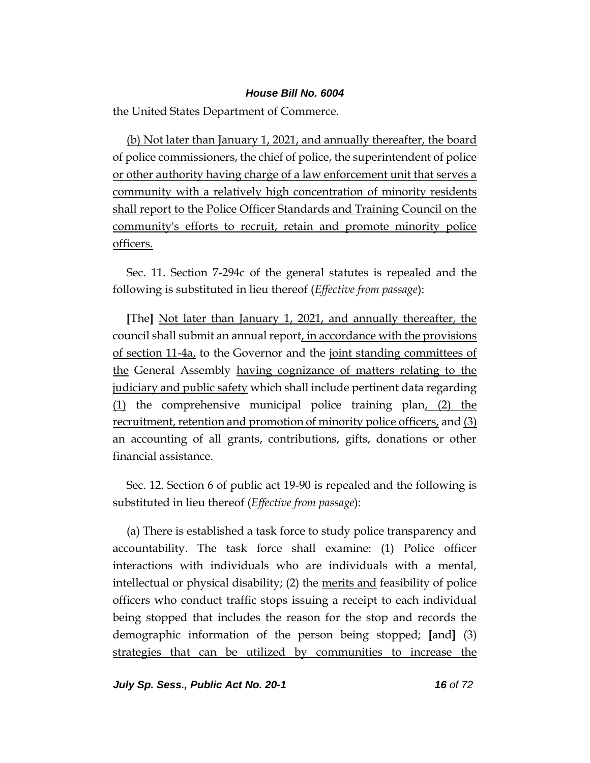the United States Department of Commerce.

(b) Not later than January 1, 2021, and annually thereafter, the board of police commissioners, the chief of police, the superintendent of police or other authority having charge of a law enforcement unit that serves a community with a relatively high concentration of minority residents shall report to the Police Officer Standards and Training Council on the community's efforts to recruit, retain and promote minority police officers.

Sec. 11. Section 7-294c of the general statutes is repealed and the following is substituted in lieu thereof (*Effective from passage*):

**[**The**]** Not later than January 1, 2021, and annually thereafter, the council shall submit an annual report, in accordance with the provisions of section 11-4a, to the Governor and the joint standing committees of the General Assembly having cognizance of matters relating to the judiciary and public safety which shall include pertinent data regarding (1) the comprehensive municipal police training plan, (2) the recruitment, retention and promotion of minority police officers, and (3) an accounting of all grants, contributions, gifts, donations or other financial assistance.

Sec. 12. Section 6 of public act 19-90 is repealed and the following is substituted in lieu thereof (*Effective from passage*):

(a) There is established a task force to study police transparency and accountability. The task force shall examine: (1) Police officer interactions with individuals who are individuals with a mental, intellectual or physical disability; (2) the merits and feasibility of police officers who conduct traffic stops issuing a receipt to each individual being stopped that includes the reason for the stop and records the demographic information of the person being stopped; **[**and**]** (3) strategies that can be utilized by communities to increase the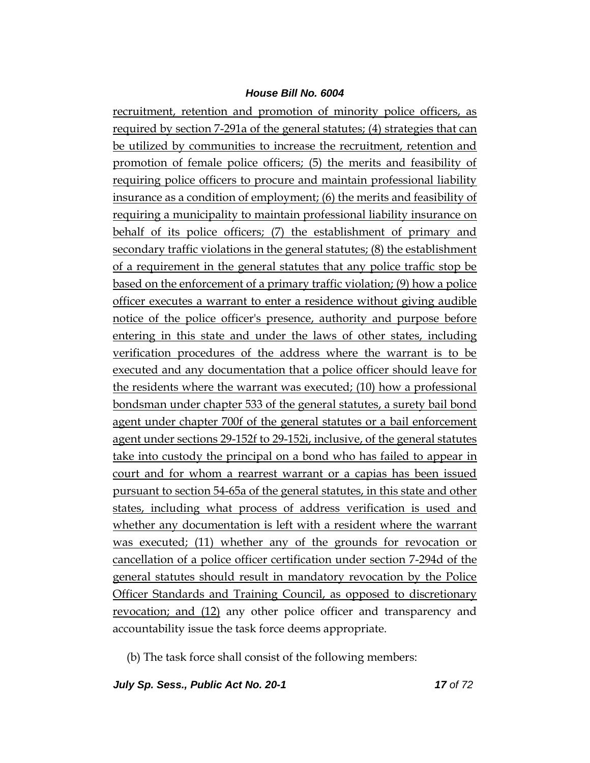recruitment, retention and promotion of minority police officers, as required by section 7-291a of the general statutes; (4) strategies that can be utilized by communities to increase the recruitment, retention and promotion of female police officers; (5) the merits and feasibility of requiring police officers to procure and maintain professional liability insurance as a condition of employment; (6) the merits and feasibility of requiring a municipality to maintain professional liability insurance on behalf of its police officers; (7) the establishment of primary and secondary traffic violations in the general statutes; (8) the establishment of a requirement in the general statutes that any police traffic stop be based on the enforcement of a primary traffic violation; (9) how a police officer executes a warrant to enter a residence without giving audible notice of the police officer's presence, authority and purpose before entering in this state and under the laws of other states, including verification procedures of the address where the warrant is to be executed and any documentation that a police officer should leave for the residents where the warrant was executed; (10) how a professional bondsman under chapter 533 of the general statutes, a surety bail bond agent under chapter 700f of the general statutes or a bail enforcement agent under sections 29-152f to 29-152i, inclusive, of the general statutes take into custody the principal on a bond who has failed to appear in court and for whom a rearrest warrant or a capias has been issued pursuant to section 54-65a of the general statutes, in this state and other states, including what process of address verification is used and whether any documentation is left with a resident where the warrant was executed; (11) whether any of the grounds for revocation or cancellation of a police officer certification under section 7-294d of the general statutes should result in mandatory revocation by the Police Officer Standards and Training Council, as opposed to discretionary revocation; and (12) any other police officer and transparency and accountability issue the task force deems appropriate.

(b) The task force shall consist of the following members:

*July Sp. Sess., Public Act No. 20-1 17 of 72*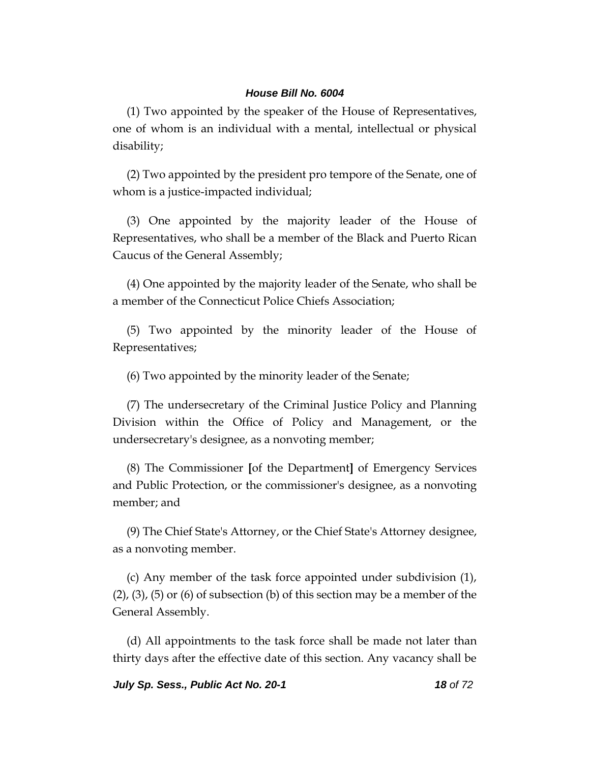(1) Two appointed by the speaker of the House of Representatives, one of whom is an individual with a mental, intellectual or physical disability;

(2) Two appointed by the president pro tempore of the Senate, one of whom is a justice-impacted individual;

(3) One appointed by the majority leader of the House of Representatives, who shall be a member of the Black and Puerto Rican Caucus of the General Assembly;

(4) One appointed by the majority leader of the Senate, who shall be a member of the Connecticut Police Chiefs Association;

(5) Two appointed by the minority leader of the House of Representatives;

(6) Two appointed by the minority leader of the Senate;

(7) The undersecretary of the Criminal Justice Policy and Planning Division within the Office of Policy and Management, or the undersecretary's designee, as a nonvoting member;

(8) The Commissioner **[**of the Department**]** of Emergency Services and Public Protection, or the commissioner's designee, as a nonvoting member; and

(9) The Chief State's Attorney, or the Chief State's Attorney designee, as a nonvoting member.

(c) Any member of the task force appointed under subdivision (1),  $(2)$ ,  $(3)$ ,  $(5)$  or  $(6)$  of subsection  $(b)$  of this section may be a member of the General Assembly.

(d) All appointments to the task force shall be made not later than thirty days after the effective date of this section. Any vacancy shall be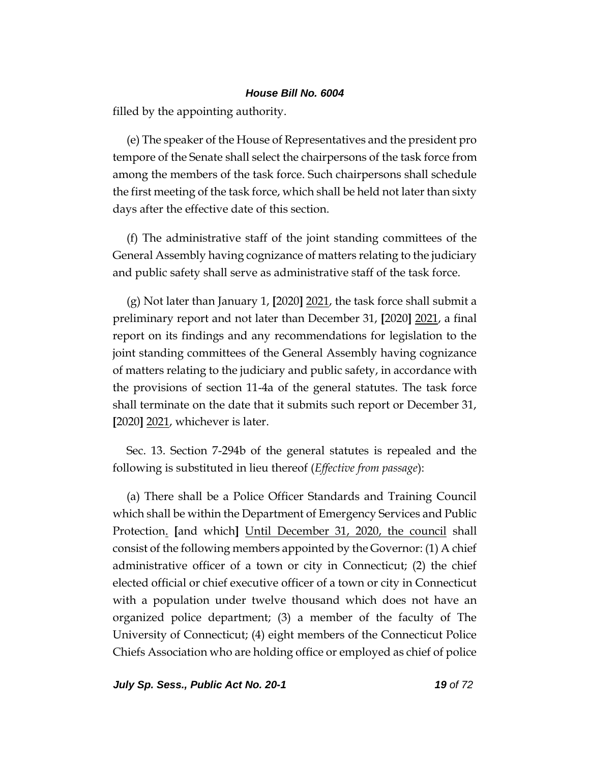filled by the appointing authority.

(e) The speaker of the House of Representatives and the president pro tempore of the Senate shall select the chairpersons of the task force from among the members of the task force. Such chairpersons shall schedule the first meeting of the task force, which shall be held not later than sixty days after the effective date of this section.

(f) The administrative staff of the joint standing committees of the General Assembly having cognizance of matters relating to the judiciary and public safety shall serve as administrative staff of the task force.

(g) Not later than January 1, **[**2020**]** 2021, the task force shall submit a preliminary report and not later than December 31, **[**2020**]** 2021, a final report on its findings and any recommendations for legislation to the joint standing committees of the General Assembly having cognizance of matters relating to the judiciary and public safety, in accordance with the provisions of section 11-4a of the general statutes. The task force shall terminate on the date that it submits such report or December 31, **[**2020**]** 2021, whichever is later.

Sec. 13. Section 7-294b of the general statutes is repealed and the following is substituted in lieu thereof (*Effective from passage*):

(a) There shall be a Police Officer Standards and Training Council which shall be within the Department of Emergency Services and Public Protection. **[**and which**]** Until December 31, 2020, the council shall consist of the following members appointed by the Governor: (1) A chief administrative officer of a town or city in Connecticut; (2) the chief elected official or chief executive officer of a town or city in Connecticut with a population under twelve thousand which does not have an organized police department; (3) a member of the faculty of The University of Connecticut; (4) eight members of the Connecticut Police Chiefs Association who are holding office or employed as chief of police

*July Sp. Sess., Public Act No. 20-1 19 of 72*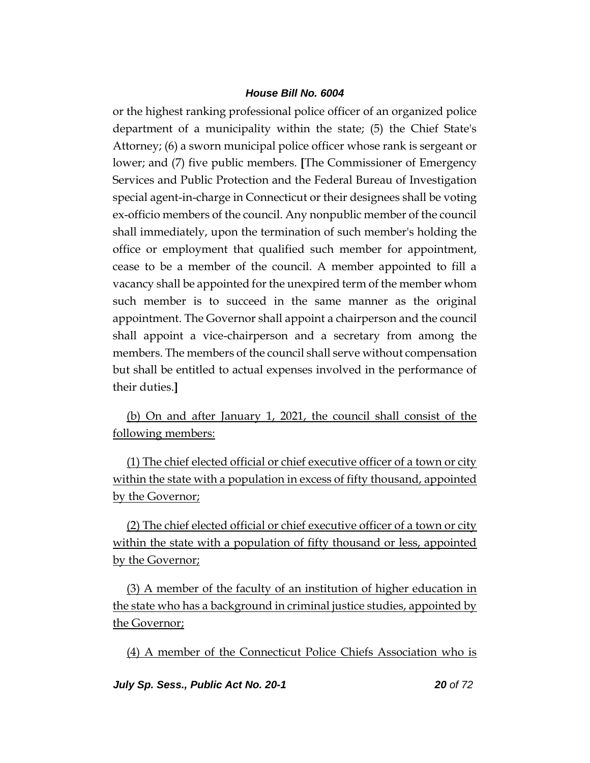or the highest ranking professional police officer of an organized police department of a municipality within the state; (5) the Chief State's Attorney; (6) a sworn municipal police officer whose rank is sergeant or lower; and (7) five public members. **[**The Commissioner of Emergency Services and Public Protection and the Federal Bureau of Investigation special agent-in-charge in Connecticut or their designees shall be voting ex-officio members of the council. Any nonpublic member of the council shall immediately, upon the termination of such member's holding the office or employment that qualified such member for appointment, cease to be a member of the council. A member appointed to fill a vacancy shall be appointed for the unexpired term of the member whom such member is to succeed in the same manner as the original appointment. The Governor shall appoint a chairperson and the council shall appoint a vice-chairperson and a secretary from among the members. The members of the council shall serve without compensation but shall be entitled to actual expenses involved in the performance of their duties.**]**

(b) On and after January 1, 2021, the council shall consist of the following members:

(1) The chief elected official or chief executive officer of a town or city within the state with a population in excess of fifty thousand, appointed by the Governor;

(2) The chief elected official or chief executive officer of a town or city within the state with a population of fifty thousand or less, appointed by the Governor;

(3) A member of the faculty of an institution of higher education in the state who has a background in criminal justice studies, appointed by the Governor;

(4) A member of the Connecticut Police Chiefs Association who is

*July Sp. Sess., Public Act No. 20-1 20 of 72*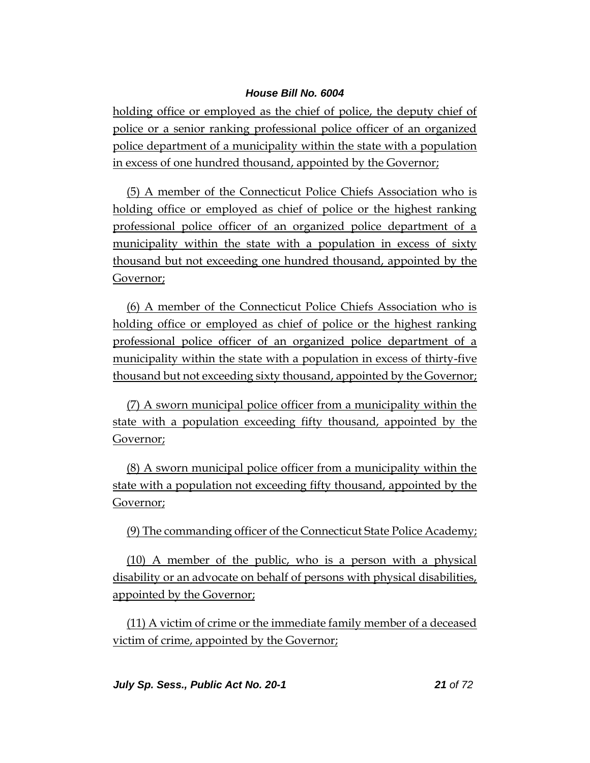holding office or employed as the chief of police, the deputy chief of police or a senior ranking professional police officer of an organized police department of a municipality within the state with a population in excess of one hundred thousand, appointed by the Governor;

(5) A member of the Connecticut Police Chiefs Association who is holding office or employed as chief of police or the highest ranking professional police officer of an organized police department of a municipality within the state with a population in excess of sixty thousand but not exceeding one hundred thousand, appointed by the Governor;

(6) A member of the Connecticut Police Chiefs Association who is holding office or employed as chief of police or the highest ranking professional police officer of an organized police department of a municipality within the state with a population in excess of thirty-five thousand but not exceeding sixty thousand, appointed by the Governor;

(7) A sworn municipal police officer from a municipality within the state with a population exceeding fifty thousand, appointed by the Governor;

(8) A sworn municipal police officer from a municipality within the state with a population not exceeding fifty thousand, appointed by the Governor;

(9) The commanding officer of the Connecticut State Police Academy;

(10) A member of the public, who is a person with a physical disability or an advocate on behalf of persons with physical disabilities, appointed by the Governor;

(11) A victim of crime or the immediate family member of a deceased victim of crime, appointed by the Governor;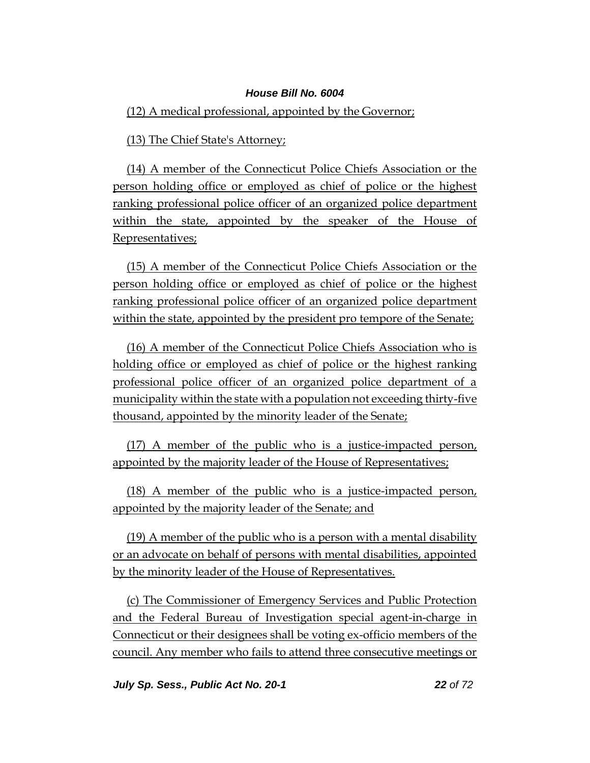### (12) A medical professional, appointed by the Governor;

(13) The Chief State's Attorney;

(14) A member of the Connecticut Police Chiefs Association or the person holding office or employed as chief of police or the highest ranking professional police officer of an organized police department within the state, appointed by the speaker of the House of Representatives;

(15) A member of the Connecticut Police Chiefs Association or the person holding office or employed as chief of police or the highest ranking professional police officer of an organized police department within the state, appointed by the president pro tempore of the Senate;

(16) A member of the Connecticut Police Chiefs Association who is holding office or employed as chief of police or the highest ranking professional police officer of an organized police department of a municipality within the state with a population not exceeding thirty-five thousand, appointed by the minority leader of the Senate;

(17) A member of the public who is a justice-impacted person, appointed by the majority leader of the House of Representatives;

(18) A member of the public who is a justice-impacted person, appointed by the majority leader of the Senate; and

(19) A member of the public who is a person with a mental disability or an advocate on behalf of persons with mental disabilities, appointed by the minority leader of the House of Representatives.

(c) The Commissioner of Emergency Services and Public Protection and the Federal Bureau of Investigation special agent-in-charge in Connecticut or their designees shall be voting ex-officio members of the council. Any member who fails to attend three consecutive meetings or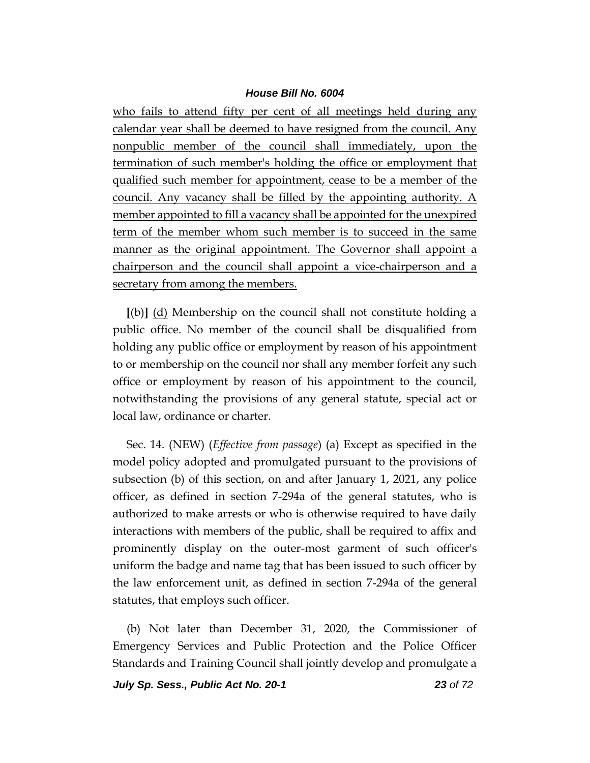who fails to attend fifty per cent of all meetings held during any calendar year shall be deemed to have resigned from the council. Any nonpublic member of the council shall immediately, upon the termination of such member's holding the office or employment that qualified such member for appointment, cease to be a member of the council. Any vacancy shall be filled by the appointing authority. A member appointed to fill a vacancy shall be appointed for the unexpired term of the member whom such member is to succeed in the same manner as the original appointment. The Governor shall appoint a chairperson and the council shall appoint a vice-chairperson and a secretary from among the members.

**[**(b)**]** (d) Membership on the council shall not constitute holding a public office. No member of the council shall be disqualified from holding any public office or employment by reason of his appointment to or membership on the council nor shall any member forfeit any such office or employment by reason of his appointment to the council, notwithstanding the provisions of any general statute, special act or local law, ordinance or charter.

Sec. 14. (NEW) (*Effective from passage*) (a) Except as specified in the model policy adopted and promulgated pursuant to the provisions of subsection (b) of this section, on and after January 1, 2021, any police officer, as defined in section 7-294a of the general statutes, who is authorized to make arrests or who is otherwise required to have daily interactions with members of the public, shall be required to affix and prominently display on the outer-most garment of such officer's uniform the badge and name tag that has been issued to such officer by the law enforcement unit, as defined in section 7-294a of the general statutes, that employs such officer.

(b) Not later than December 31, 2020, the Commissioner of Emergency Services and Public Protection and the Police Officer Standards and Training Council shall jointly develop and promulgate a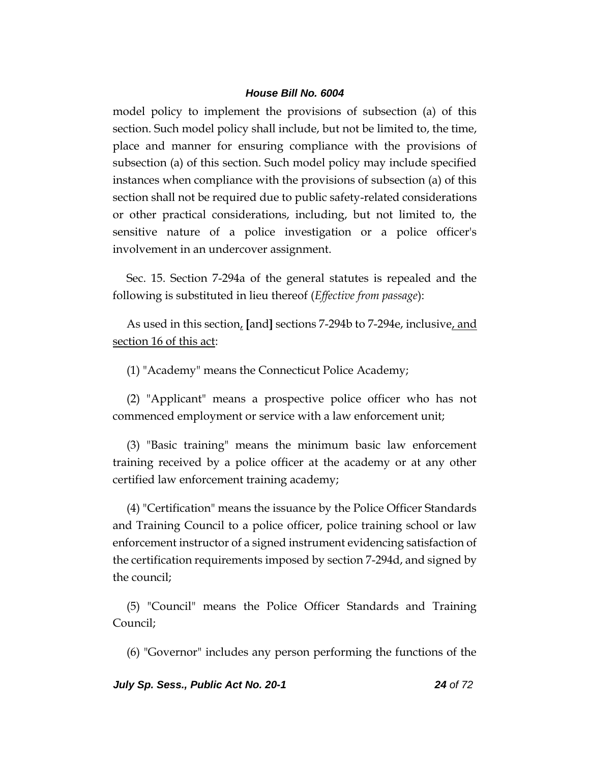model policy to implement the provisions of subsection (a) of this section. Such model policy shall include, but not be limited to, the time, place and manner for ensuring compliance with the provisions of subsection (a) of this section. Such model policy may include specified instances when compliance with the provisions of subsection (a) of this section shall not be required due to public safety-related considerations or other practical considerations, including, but not limited to, the sensitive nature of a police investigation or a police officer's involvement in an undercover assignment.

Sec. 15. Section 7-294a of the general statutes is repealed and the following is substituted in lieu thereof (*Effective from passage*):

As used in this section, **[**and**]** sections 7-294b to 7-294e, inclusive, and section 16 of this act:

(1) "Academy" means the Connecticut Police Academy;

(2) "Applicant" means a prospective police officer who has not commenced employment or service with a law enforcement unit;

(3) "Basic training" means the minimum basic law enforcement training received by a police officer at the academy or at any other certified law enforcement training academy;

(4) "Certification" means the issuance by the Police Officer Standards and Training Council to a police officer, police training school or law enforcement instructor of a signed instrument evidencing satisfaction of the certification requirements imposed by section 7-294d, and signed by the council;

(5) "Council" means the Police Officer Standards and Training Council;

(6) "Governor" includes any person performing the functions of the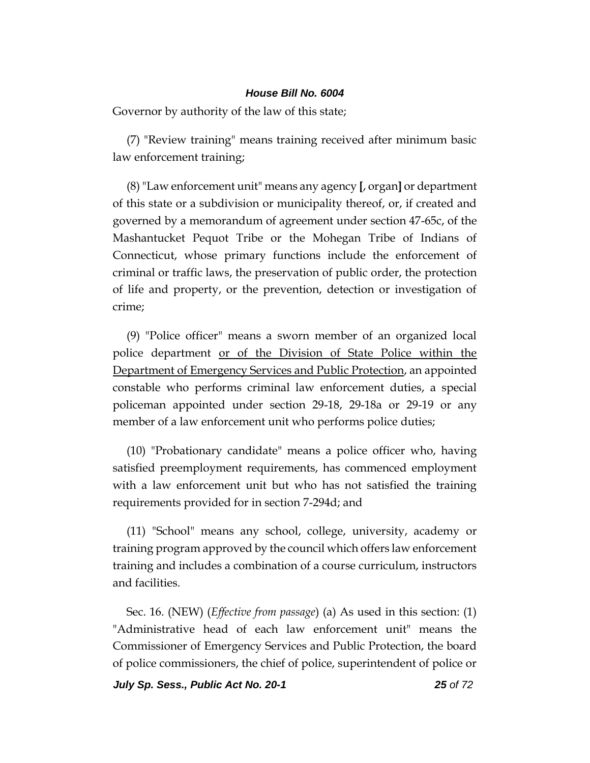Governor by authority of the law of this state;

(7) "Review training" means training received after minimum basic law enforcement training;

(8)"Law enforcement unit" means any agency **[**, organ**]** or department of this state or a subdivision or municipality thereof, or, if created and governed by a memorandum of agreement under section 47-65c, of the Mashantucket Pequot Tribe or the Mohegan Tribe of Indians of Connecticut, whose primary functions include the enforcement of criminal or traffic laws, the preservation of public order, the protection of life and property, or the prevention, detection or investigation of crime;

(9) "Police officer" means a sworn member of an organized local police department or of the Division of State Police within the Department of Emergency Services and Public Protection, an appointed constable who performs criminal law enforcement duties, a special policeman appointed under section 29-18, 29-18a or 29-19 or any member of a law enforcement unit who performs police duties;

(10) "Probationary candidate" means a police officer who, having satisfied preemployment requirements, has commenced employment with a law enforcement unit but who has not satisfied the training requirements provided for in section 7-294d; and

(11) "School" means any school, college, university, academy or training program approved by the council which offers law enforcement training and includes a combination of a course curriculum, instructors and facilities.

Sec. 16. (NEW) (*Effective from passage*) (a) As used in this section: (1) "Administrative head of each law enforcement unit" means the Commissioner of Emergency Services and Public Protection, the board of police commissioners, the chief of police, superintendent of police or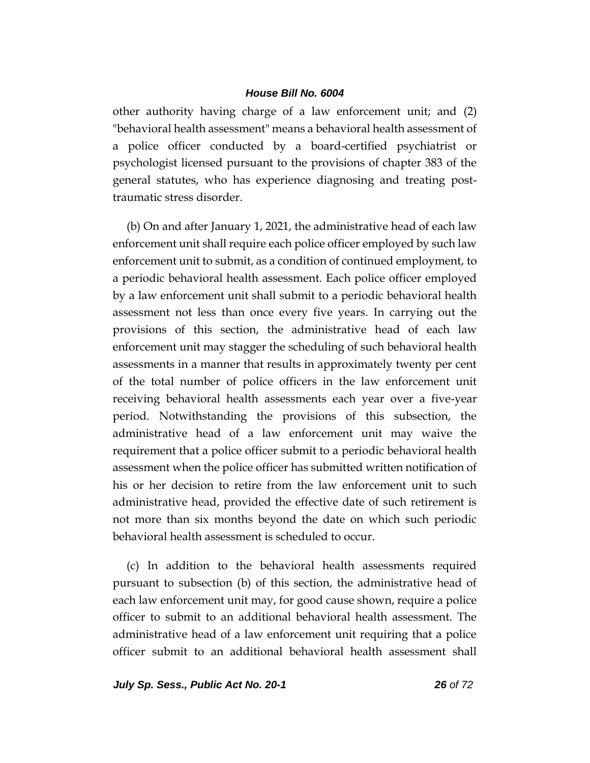other authority having charge of a law enforcement unit; and (2) "behavioral health assessment" means a behavioral health assessment of a police officer conducted by a board-certified psychiatrist or psychologist licensed pursuant to the provisions of chapter 383 of the general statutes, who has experience diagnosing and treating posttraumatic stress disorder.

(b) On and after January 1, 2021, the administrative head of each law enforcement unit shall require each police officer employed by such law enforcement unit to submit, as a condition of continued employment, to a periodic behavioral health assessment. Each police officer employed by a law enforcement unit shall submit to a periodic behavioral health assessment not less than once every five years. In carrying out the provisions of this section, the administrative head of each law enforcement unit may stagger the scheduling of such behavioral health assessments in a manner that results in approximately twenty per cent of the total number of police officers in the law enforcement unit receiving behavioral health assessments each year over a five-year period. Notwithstanding the provisions of this subsection, the administrative head of a law enforcement unit may waive the requirement that a police officer submit to a periodic behavioral health assessment when the police officer has submitted written notification of his or her decision to retire from the law enforcement unit to such administrative head, provided the effective date of such retirement is not more than six months beyond the date on which such periodic behavioral health assessment is scheduled to occur.

(c) In addition to the behavioral health assessments required pursuant to subsection (b) of this section, the administrative head of each law enforcement unit may, for good cause shown, require a police officer to submit to an additional behavioral health assessment. The administrative head of a law enforcement unit requiring that a police officer submit to an additional behavioral health assessment shall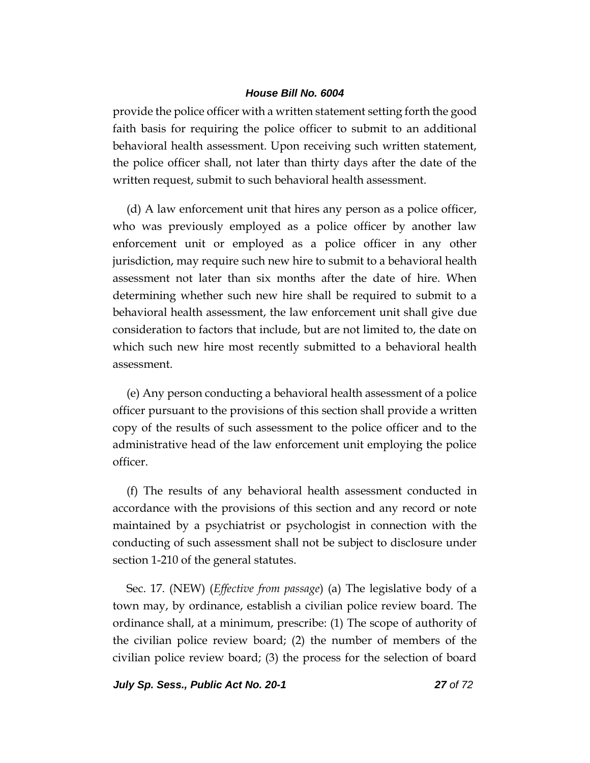provide the police officer with a written statement setting forth the good faith basis for requiring the police officer to submit to an additional behavioral health assessment. Upon receiving such written statement, the police officer shall, not later than thirty days after the date of the written request, submit to such behavioral health assessment.

(d) A law enforcement unit that hires any person as a police officer, who was previously employed as a police officer by another law enforcement unit or employed as a police officer in any other jurisdiction, may require such new hire to submit to a behavioral health assessment not later than six months after the date of hire. When determining whether such new hire shall be required to submit to a behavioral health assessment, the law enforcement unit shall give due consideration to factors that include, but are not limited to, the date on which such new hire most recently submitted to a behavioral health assessment.

(e) Any person conducting a behavioral health assessment of a police officer pursuant to the provisions of this section shall provide a written copy of the results of such assessment to the police officer and to the administrative head of the law enforcement unit employing the police officer.

(f) The results of any behavioral health assessment conducted in accordance with the provisions of this section and any record or note maintained by a psychiatrist or psychologist in connection with the conducting of such assessment shall not be subject to disclosure under section 1-210 of the general statutes.

Sec. 17. (NEW) (*Effective from passage*) (a) The legislative body of a town may, by ordinance, establish a civilian police review board. The ordinance shall, at a minimum, prescribe: (1) The scope of authority of the civilian police review board; (2) the number of members of the civilian police review board; (3) the process for the selection of board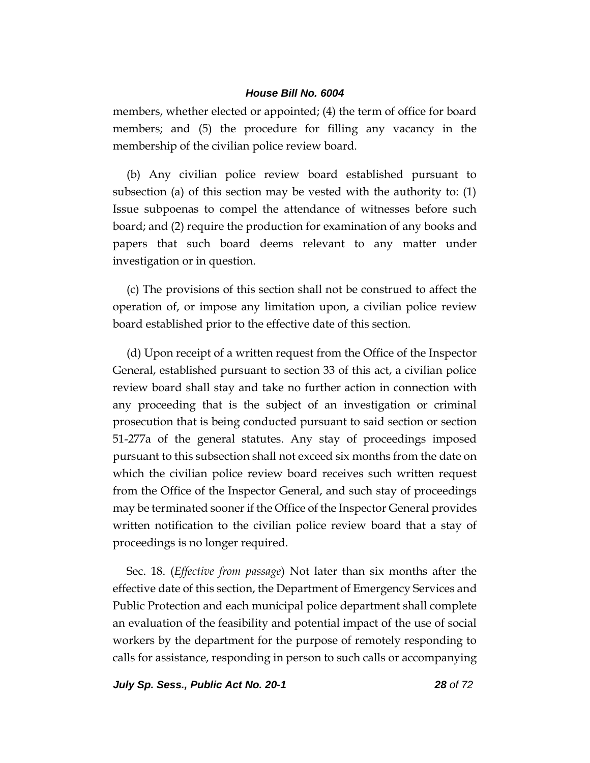members, whether elected or appointed; (4) the term of office for board members; and (5) the procedure for filling any vacancy in the membership of the civilian police review board.

(b) Any civilian police review board established pursuant to subsection (a) of this section may be vested with the authority to: (1) Issue subpoenas to compel the attendance of witnesses before such board; and (2) require the production for examination of any books and papers that such board deems relevant to any matter under investigation or in question.

(c) The provisions of this section shall not be construed to affect the operation of, or impose any limitation upon, a civilian police review board established prior to the effective date of this section.

(d) Upon receipt of a written request from the Office of the Inspector General, established pursuant to section 33 of this act, a civilian police review board shall stay and take no further action in connection with any proceeding that is the subject of an investigation or criminal prosecution that is being conducted pursuant to said section or section 51-277a of the general statutes. Any stay of proceedings imposed pursuant to this subsection shall not exceed six months from the date on which the civilian police review board receives such written request from the Office of the Inspector General, and such stay of proceedings may be terminated sooner if the Office of the Inspector General provides written notification to the civilian police review board that a stay of proceedings is no longer required.

Sec. 18. (*Effective from passage*) Not later than six months after the effective date of this section, the Department of Emergency Services and Public Protection and each municipal police department shall complete an evaluation of the feasibility and potential impact of the use of social workers by the department for the purpose of remotely responding to calls for assistance, responding in person to such calls or accompanying

*July Sp. Sess., Public Act No. 20-1 28 of 72*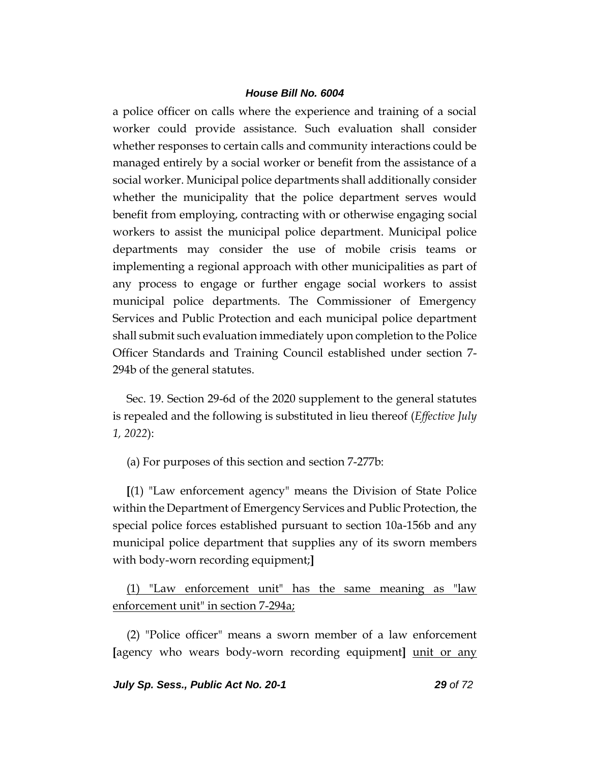a police officer on calls where the experience and training of a social worker could provide assistance. Such evaluation shall consider whether responses to certain calls and community interactions could be managed entirely by a social worker or benefit from the assistance of a social worker. Municipal police departments shall additionally consider whether the municipality that the police department serves would benefit from employing, contracting with or otherwise engaging social workers to assist the municipal police department. Municipal police departments may consider the use of mobile crisis teams or implementing a regional approach with other municipalities as part of any process to engage or further engage social workers to assist municipal police departments. The Commissioner of Emergency Services and Public Protection and each municipal police department shall submit such evaluation immediately upon completion to the Police Officer Standards and Training Council established under section 7- 294b of the general statutes.

Sec. 19. Section 29-6d of the 2020 supplement to the general statutes is repealed and the following is substituted in lieu thereof (*Effective July 1, 2022*):

(a) For purposes of this section and section 7-277b:

**[**(1) "Law enforcement agency" means the Division of State Police within the Department of Emergency Services and Public Protection, the special police forces established pursuant to section 10a-156b and any municipal police department that supplies any of its sworn members with body-worn recording equipment;**]**

(1) "Law enforcement unit" has the same meaning as "law enforcement unit" in section 7-294a;

(2) "Police officer" means a sworn member of a law enforcement **[**agency who wears body-worn recording equipment**]** unit or any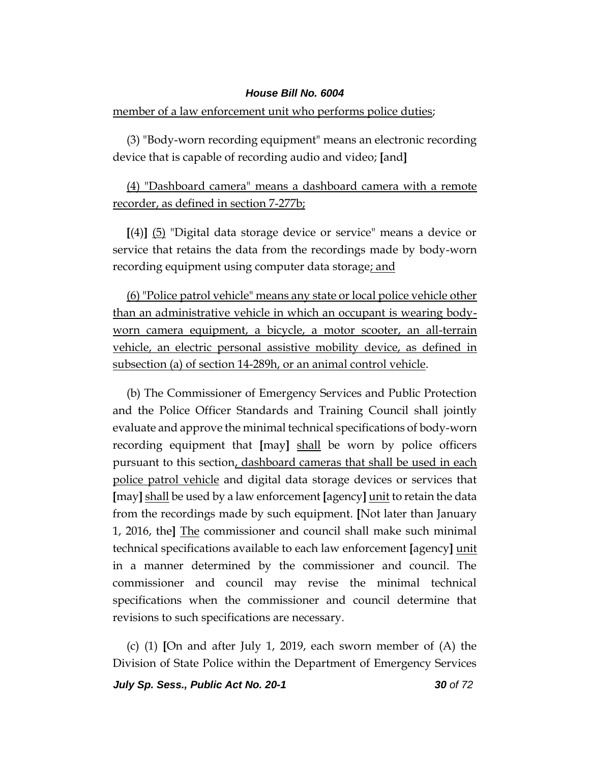member of a law enforcement unit who performs police duties;

(3) "Body-worn recording equipment" means an electronic recording device that is capable of recording audio and video; **[**and**]**

# (4) "Dashboard camera" means a dashboard camera with a remote recorder, as defined in section 7-277b;

**[**(4)**]** (5) "Digital data storage device or service" means a device or service that retains the data from the recordings made by body-worn recording equipment using computer data storage; and

(6) "Police patrol vehicle" means any state or local police vehicle other than an administrative vehicle in which an occupant is wearing bodyworn camera equipment, a bicycle, a motor scooter, an all-terrain vehicle, an electric personal assistive mobility device, as defined in subsection (a) of section 14-289h, or an animal control vehicle.

(b) The Commissioner of Emergency Services and Public Protection and the Police Officer Standards and Training Council shall jointly evaluate and approve the minimal technical specifications of body-worn recording equipment that **[**may**]** shall be worn by police officers pursuant to this section, dashboard cameras that shall be used in each police patrol vehicle and digital data storage devices or services that **[**may**]** shall be used by a law enforcement **[**agency**]** unit to retain the data from the recordings made by such equipment. **[**Not later than January 1, 2016, the**]** The commissioner and council shall make such minimal technical specifications available to each law enforcement **[**agency**]** unit in a manner determined by the commissioner and council. The commissioner and council may revise the minimal technical specifications when the commissioner and council determine that revisions to such specifications are necessary.

(c) (1) **[**On and after July 1, 2019, each sworn member of (A) the Division of State Police within the Department of Emergency Services

*July Sp. Sess., Public Act No. 20-1 30 of 72*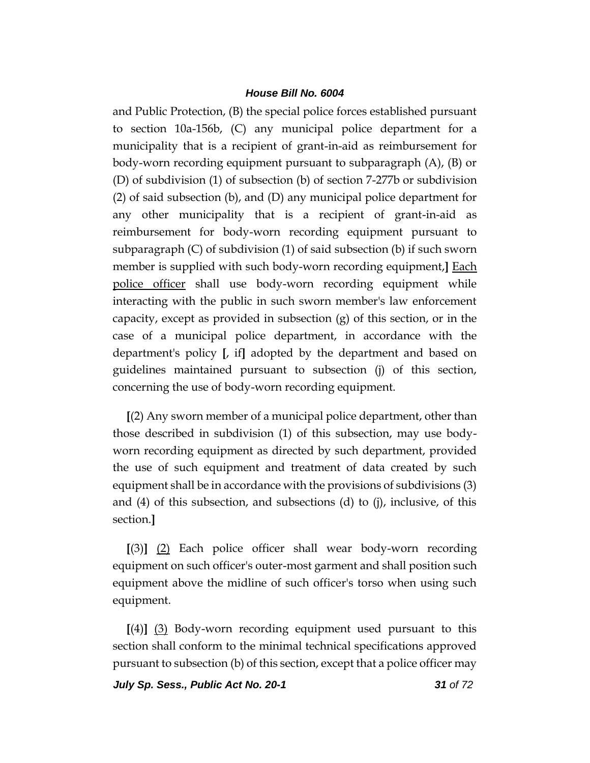and Public Protection, (B) the special police forces established pursuant to section 10a-156b, (C) any municipal police department for a municipality that is a recipient of grant-in-aid as reimbursement for body-worn recording equipment pursuant to subparagraph (A), (B) or (D) of subdivision (1) of subsection (b) of section 7-277b or subdivision (2) of said subsection (b), and (D) any municipal police department for any other municipality that is a recipient of grant-in-aid as reimbursement for body-worn recording equipment pursuant to subparagraph (C) of subdivision (1) of said subsection (b) if such sworn member is supplied with such body-worn recording equipment,**]** Each police officer shall use body-worn recording equipment while interacting with the public in such sworn member's law enforcement capacity, except as provided in subsection (g) of this section, or in the case of a municipal police department, in accordance with the department's policy **[**, if**]** adopted by the department and based on guidelines maintained pursuant to subsection (j) of this section, concerning the use of body-worn recording equipment.

**[**(2) Any sworn member of a municipal police department, other than those described in subdivision (1) of this subsection, may use bodyworn recording equipment as directed by such department, provided the use of such equipment and treatment of data created by such equipment shall be in accordance with the provisions of subdivisions (3) and (4) of this subsection, and subsections (d) to (j), inclusive, of this section.**]**

**[**(3)**]** (2) Each police officer shall wear body-worn recording equipment on such officer's outer-most garment and shall position such equipment above the midline of such officer's torso when using such equipment.

**[**(4)**]** (3) Body-worn recording equipment used pursuant to this section shall conform to the minimal technical specifications approved pursuant to subsection (b) of this section, except that a police officer may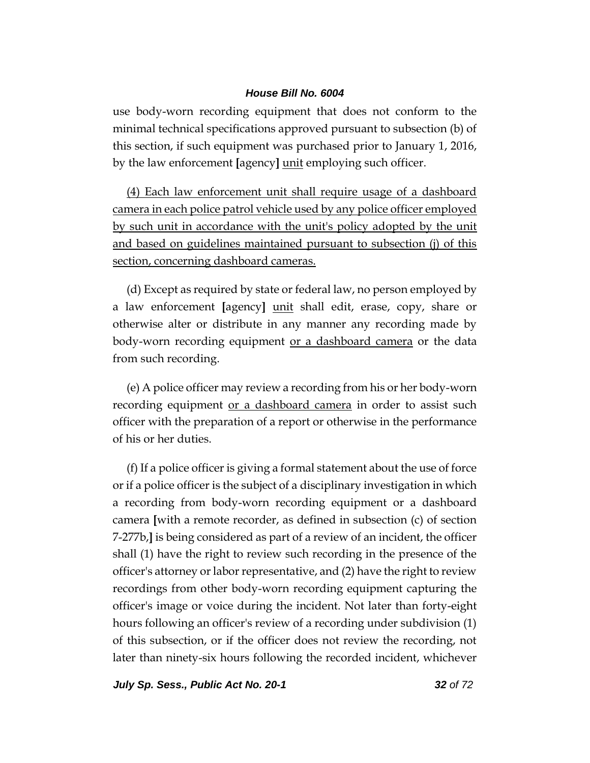use body-worn recording equipment that does not conform to the minimal technical specifications approved pursuant to subsection (b) of this section, if such equipment was purchased prior to January 1, 2016, by the law enforcement **[**agency**]** unit employing such officer.

(4) Each law enforcement unit shall require usage of a dashboard camera in each police patrol vehicle used by any police officer employed by such unit in accordance with the unit's policy adopted by the unit and based on guidelines maintained pursuant to subsection (j) of this section, concerning dashboard cameras.

(d) Except as required by state or federal law, no person employed by a law enforcement **[**agency**]** unit shall edit, erase, copy, share or otherwise alter or distribute in any manner any recording made by body-worn recording equipment <u>or a dashboard camera</u> or the data from such recording.

(e) A police officer may review a recording from his or her body-worn recording equipment or a dashboard camera in order to assist such officer with the preparation of a report or otherwise in the performance of his or her duties.

(f) If a police officer is giving a formal statement about the use of force or if a police officer is the subject of a disciplinary investigation in which a recording from body-worn recording equipment or a dashboard camera **[**with a remote recorder, as defined in subsection (c) of section 7-277b,**]** is being considered as part of a review of an incident, the officer shall (1) have the right to review such recording in the presence of the officer's attorney or labor representative, and (2) have the right to review recordings from other body-worn recording equipment capturing the officer's image or voice during the incident. Not later than forty-eight hours following an officer's review of a recording under subdivision (1) of this subsection, or if the officer does not review the recording, not later than ninety-six hours following the recorded incident, whichever

*July Sp. Sess., Public Act No. 20-1 32 of 72*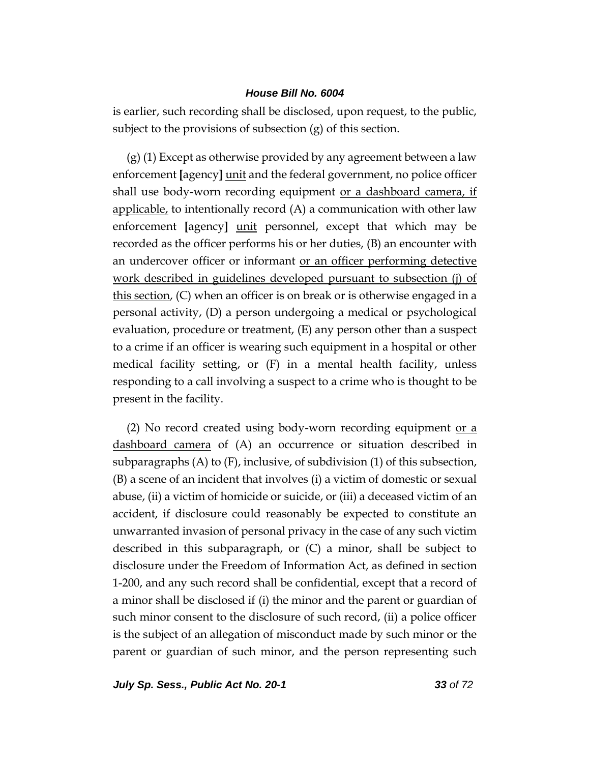is earlier, such recording shall be disclosed, upon request, to the public, subject to the provisions of subsection (g) of this section.

(g) (1) Except as otherwise provided by any agreement between a law enforcement **[**agency**]** unit and the federal government, no police officer shall use body-worn recording equipment or a dashboard camera, if applicable, to intentionally record  $(A)$  a communication with other law enforcement **[**agency**]** unit personnel, except that which may be recorded as the officer performs his or her duties, (B) an encounter with an undercover officer or informant or an officer performing detective work described in guidelines developed pursuant to subsection (j) of this section, (C) when an officer is on break or is otherwise engaged in a personal activity, (D) a person undergoing a medical or psychological evaluation, procedure or treatment, (E) any person other than a suspect to a crime if an officer is wearing such equipment in a hospital or other medical facility setting, or (F) in a mental health facility, unless responding to a call involving a suspect to a crime who is thought to be present in the facility.

(2) No record created using body-worn recording equipment or  $\alpha$ dashboard camera of (A) an occurrence or situation described in subparagraphs  $(A)$  to  $(F)$ , inclusive, of subdivision  $(1)$  of this subsection, (B) a scene of an incident that involves (i) a victim of domestic or sexual abuse, (ii) a victim of homicide or suicide, or (iii) a deceased victim of an accident, if disclosure could reasonably be expected to constitute an unwarranted invasion of personal privacy in the case of any such victim described in this subparagraph, or (C) a minor, shall be subject to disclosure under the Freedom of Information Act, as defined in section 1-200, and any such record shall be confidential, except that a record of a minor shall be disclosed if (i) the minor and the parent or guardian of such minor consent to the disclosure of such record, (ii) a police officer is the subject of an allegation of misconduct made by such minor or the parent or guardian of such minor, and the person representing such

*July Sp. Sess., Public Act No. 20-1 33 of 72*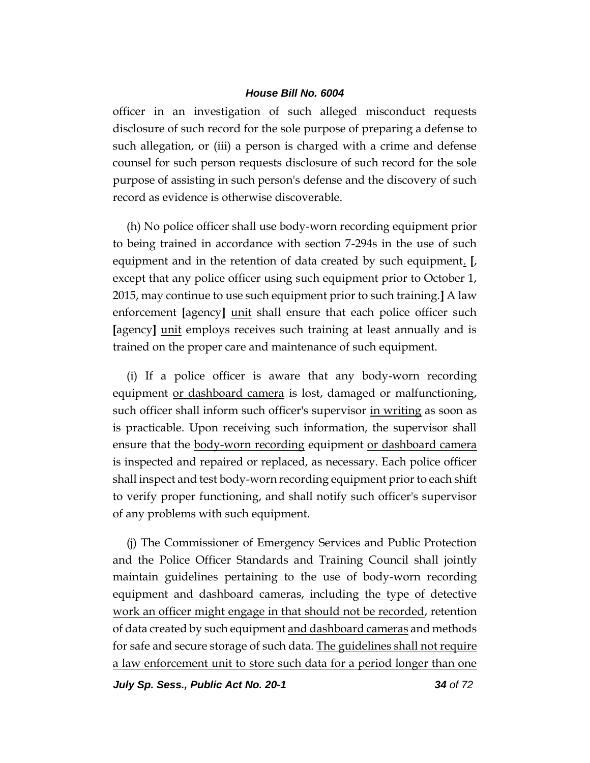officer in an investigation of such alleged misconduct requests disclosure of such record for the sole purpose of preparing a defense to such allegation, or (iii) a person is charged with a crime and defense counsel for such person requests disclosure of such record for the sole purpose of assisting in such person's defense and the discovery of such record as evidence is otherwise discoverable.

(h) No police officer shall use body-worn recording equipment prior to being trained in accordance with section 7-294s in the use of such equipment and in the retention of data created by such equipment. **[**, except that any police officer using such equipment prior to October 1, 2015, may continue to use such equipment prior to such training.**]** A law enforcement **[**agency**]** unit shall ensure that each police officer such **[**agency**]** unit employs receives such training at least annually and is trained on the proper care and maintenance of such equipment.

(i) If a police officer is aware that any body-worn recording equipment <u>or dashboard camera</u> is lost, damaged or malfunctioning, such officer shall inform such officer's supervisor in writing as soon as is practicable. Upon receiving such information, the supervisor shall ensure that the **body-worn recording** equipment or dashboard camera is inspected and repaired or replaced, as necessary. Each police officer shall inspect and test body-worn recording equipment prior to each shift to verify proper functioning, and shall notify such officer's supervisor of any problems with such equipment.

(j) The Commissioner of Emergency Services and Public Protection and the Police Officer Standards and Training Council shall jointly maintain guidelines pertaining to the use of body-worn recording equipment and dashboard cameras, including the type of detective work an officer might engage in that should not be recorded, retention of data created by such equipment and dashboard cameras and methods for safe and secure storage of such data. The guidelines shall not require a law enforcement unit to store such data for a period longer than one

*July Sp. Sess., Public Act No. 20-1 34 of 72*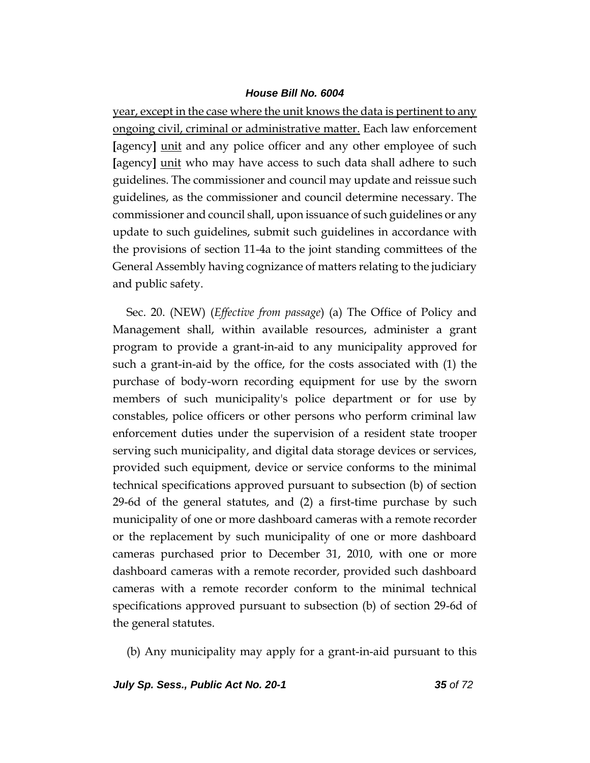year, except in the case where the unit knows the data is pertinent to any ongoing civil, criminal or administrative matter. Each law enforcement **[**agency**]** unit and any police officer and any other employee of such **[**agency**]** unit who may have access to such data shall adhere to such guidelines. The commissioner and council may update and reissue such guidelines, as the commissioner and council determine necessary. The commissioner and council shall, upon issuance of such guidelines or any update to such guidelines, submit such guidelines in accordance with the provisions of section 11-4a to the joint standing committees of the General Assembly having cognizance of matters relating to the judiciary and public safety.

Sec. 20. (NEW) (*Effective from passage*) (a) The Office of Policy and Management shall, within available resources, administer a grant program to provide a grant-in-aid to any municipality approved for such a grant-in-aid by the office, for the costs associated with (1) the purchase of body-worn recording equipment for use by the sworn members of such municipality's police department or for use by constables, police officers or other persons who perform criminal law enforcement duties under the supervision of a resident state trooper serving such municipality, and digital data storage devices or services, provided such equipment, device or service conforms to the minimal technical specifications approved pursuant to subsection (b) of section 29-6d of the general statutes, and (2) a first-time purchase by such municipality of one or more dashboard cameras with a remote recorder or the replacement by such municipality of one or more dashboard cameras purchased prior to December 31, 2010, with one or more dashboard cameras with a remote recorder, provided such dashboard cameras with a remote recorder conform to the minimal technical specifications approved pursuant to subsection (b) of section 29-6d of the general statutes.

(b) Any municipality may apply for a grant-in-aid pursuant to this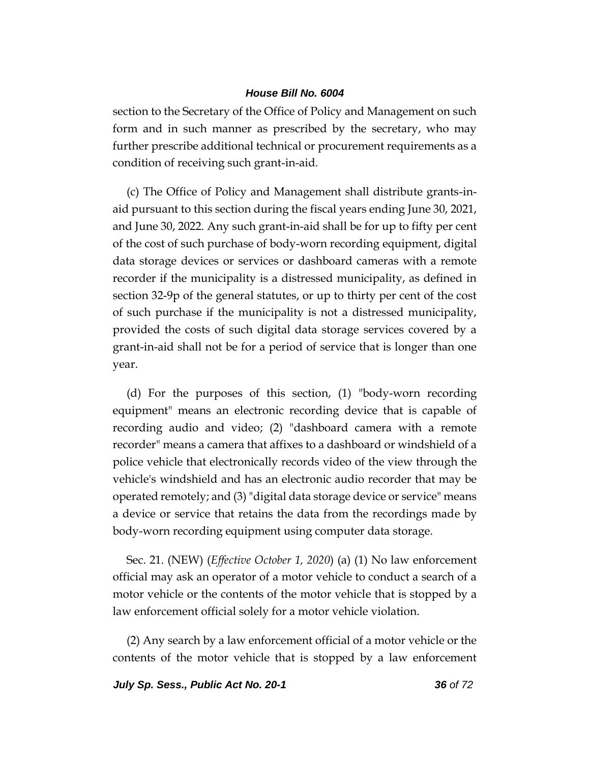section to the Secretary of the Office of Policy and Management on such form and in such manner as prescribed by the secretary, who may further prescribe additional technical or procurement requirements as a condition of receiving such grant-in-aid.

(c) The Office of Policy and Management shall distribute grants-inaid pursuant to this section during the fiscal years ending June 30, 2021, and June 30, 2022. Any such grant-in-aid shall be for up to fifty per cent of the cost of such purchase of body-worn recording equipment, digital data storage devices or services or dashboard cameras with a remote recorder if the municipality is a distressed municipality, as defined in section 32-9p of the general statutes, or up to thirty per cent of the cost of such purchase if the municipality is not a distressed municipality, provided the costs of such digital data storage services covered by a grant-in-aid shall not be for a period of service that is longer than one year.

(d) For the purposes of this section, (1) "body-worn recording equipment" means an electronic recording device that is capable of recording audio and video; (2) "dashboard camera with a remote recorder" means a camera that affixes to a dashboard or windshield of a police vehicle that electronically records video of the view through the vehicle's windshield and has an electronic audio recorder that may be operated remotely; and (3) "digital data storage device or service" means a device or service that retains the data from the recordings made by body-worn recording equipment using computer data storage.

Sec. 21. (NEW) (*Effective October 1, 2020*) (a) (1) No law enforcement official may ask an operator of a motor vehicle to conduct a search of a motor vehicle or the contents of the motor vehicle that is stopped by a law enforcement official solely for a motor vehicle violation.

(2) Any search by a law enforcement official of a motor vehicle or the contents of the motor vehicle that is stopped by a law enforcement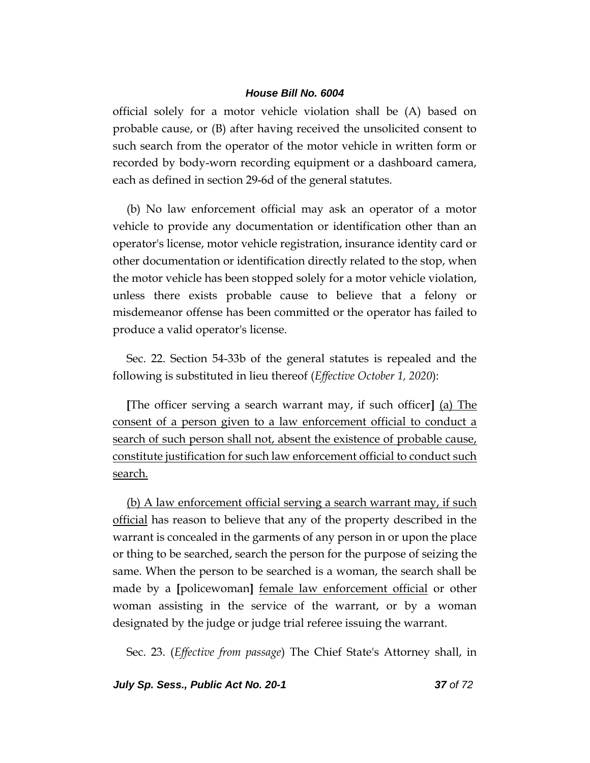official solely for a motor vehicle violation shall be (A) based on probable cause, or (B) after having received the unsolicited consent to such search from the operator of the motor vehicle in written form or recorded by body-worn recording equipment or a dashboard camera, each as defined in section 29-6d of the general statutes.

(b) No law enforcement official may ask an operator of a motor vehicle to provide any documentation or identification other than an operator's license, motor vehicle registration, insurance identity card or other documentation or identification directly related to the stop, when the motor vehicle has been stopped solely for a motor vehicle violation, unless there exists probable cause to believe that a felony or misdemeanor offense has been committed or the operator has failed to produce a valid operator's license.

Sec. 22. Section 54-33b of the general statutes is repealed and the following is substituted in lieu thereof (*Effective October 1, 2020*):

**[**The officer serving a search warrant may, if such officer**]** (a) The consent of a person given to a law enforcement official to conduct a search of such person shall not, absent the existence of probable cause, constitute justification for such law enforcement official to conduct such search.

(b) A law enforcement official serving a search warrant may, if such official has reason to believe that any of the property described in the warrant is concealed in the garments of any person in or upon the place or thing to be searched, search the person for the purpose of seizing the same. When the person to be searched is a woman, the search shall be made by a **[**policewoman**]** female law enforcement official or other woman assisting in the service of the warrant, or by a woman designated by the judge or judge trial referee issuing the warrant.

Sec. 23. (*Effective from passage*) The Chief State's Attorney shall, in

*July Sp. Sess., Public Act No. 20-1 37 of 72*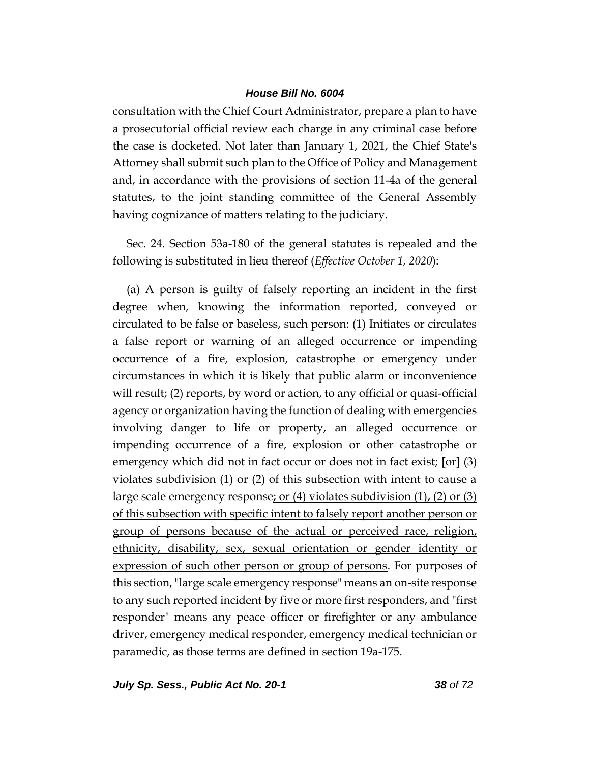consultation with the Chief Court Administrator, prepare a plan to have a prosecutorial official review each charge in any criminal case before the case is docketed. Not later than January 1, 2021, the Chief State's Attorney shall submit such plan to the Office of Policy and Management and, in accordance with the provisions of section 11-4a of the general statutes, to the joint standing committee of the General Assembly having cognizance of matters relating to the judiciary.

Sec. 24. Section 53a-180 of the general statutes is repealed and the following is substituted in lieu thereof (*Effective October 1, 2020*):

(a) A person is guilty of falsely reporting an incident in the first degree when, knowing the information reported, conveyed or circulated to be false or baseless, such person: (1) Initiates or circulates a false report or warning of an alleged occurrence or impending occurrence of a fire, explosion, catastrophe or emergency under circumstances in which it is likely that public alarm or inconvenience will result; (2) reports, by word or action, to any official or quasi-official agency or organization having the function of dealing with emergencies involving danger to life or property, an alleged occurrence or impending occurrence of a fire, explosion or other catastrophe or emergency which did not in fact occur or does not in fact exist; **[**or**]** (3) violates subdivision (1) or (2) of this subsection with intent to cause a large scale emergency response; or (4) violates subdivision (1), (2) or (3) of this subsection with specific intent to falsely report another person or group of persons because of the actual or perceived race, religion, ethnicity, disability, sex, sexual orientation or gender identity or expression of such other person or group of persons. For purposes of this section, "large scale emergency response" means an on-site response to any such reported incident by five or more first responders, and "first responder" means any peace officer or firefighter or any ambulance driver, emergency medical responder, emergency medical technician or paramedic, as those terms are defined in section 19a-175.

*July Sp. Sess., Public Act No. 20-1 38 of 72*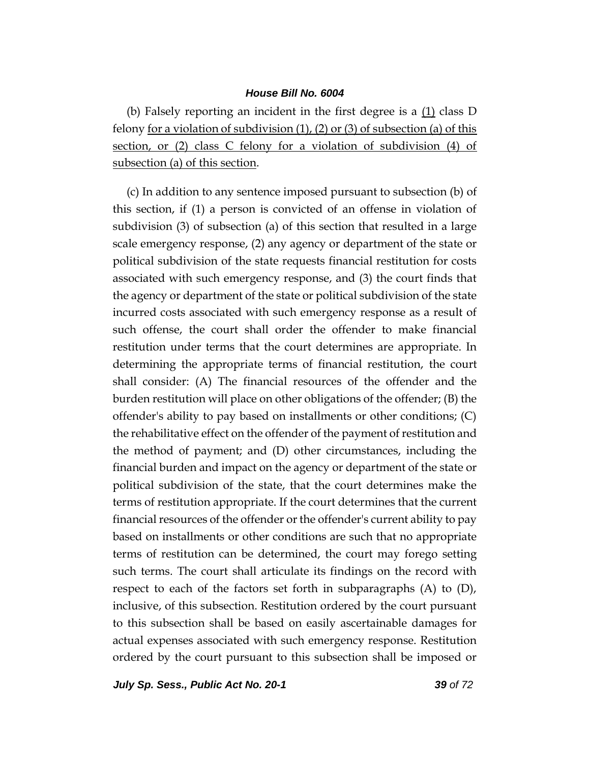(b) Falsely reporting an incident in the first degree is a (1) class D felony for a violation of subdivision  $(1)$ ,  $(2)$  or  $(3)$  of subsection  $(a)$  of this section, or (2) class C felony for a violation of subdivision (4) of subsection (a) of this section.

(c) In addition to any sentence imposed pursuant to subsection (b) of this section, if (1) a person is convicted of an offense in violation of subdivision (3) of subsection (a) of this section that resulted in a large scale emergency response, (2) any agency or department of the state or political subdivision of the state requests financial restitution for costs associated with such emergency response, and (3) the court finds that the agency or department of the state or political subdivision of the state incurred costs associated with such emergency response as a result of such offense, the court shall order the offender to make financial restitution under terms that the court determines are appropriate. In determining the appropriate terms of financial restitution, the court shall consider: (A) The financial resources of the offender and the burden restitution will place on other obligations of the offender; (B) the offender's ability to pay based on installments or other conditions; (C) the rehabilitative effect on the offender of the payment of restitution and the method of payment; and (D) other circumstances, including the financial burden and impact on the agency or department of the state or political subdivision of the state, that the court determines make the terms of restitution appropriate. If the court determines that the current financial resources of the offender or the offender's current ability to pay based on installments or other conditions are such that no appropriate terms of restitution can be determined, the court may forego setting such terms. The court shall articulate its findings on the record with respect to each of the factors set forth in subparagraphs (A) to (D), inclusive, of this subsection. Restitution ordered by the court pursuant to this subsection shall be based on easily ascertainable damages for actual expenses associated with such emergency response. Restitution ordered by the court pursuant to this subsection shall be imposed or

*July Sp. Sess., Public Act No. 20-1 39 of 72*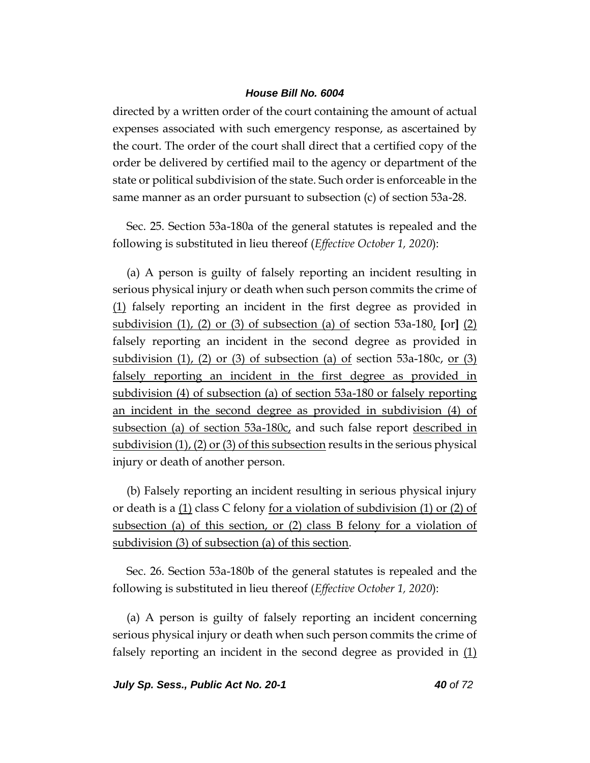directed by a written order of the court containing the amount of actual expenses associated with such emergency response, as ascertained by the court. The order of the court shall direct that a certified copy of the order be delivered by certified mail to the agency or department of the state or political subdivision of the state. Such order is enforceable in the same manner as an order pursuant to subsection (c) of section 53a-28.

Sec. 25. Section 53a-180a of the general statutes is repealed and the following is substituted in lieu thereof (*Effective October 1, 2020*):

(a) A person is guilty of falsely reporting an incident resulting in serious physical injury or death when such person commits the crime of (1) falsely reporting an incident in the first degree as provided in subdivision (1), (2) or (3) of subsection (a) of section 53a-180, **[**or**]** (2) falsely reporting an incident in the second degree as provided in subdivision  $(1)$ ,  $(2)$  or  $(3)$  of subsection  $(a)$  of section 53a-180c, or  $(3)$ falsely reporting an incident in the first degree as provided in subdivision (4) of subsection (a) of section 53a-180 or falsely reporting an incident in the second degree as provided in subdivision (4) of subsection (a) of section 53a-180c, and such false report described in subdivision (1), (2) or (3) of this subsection results in the serious physical injury or death of another person.

(b) Falsely reporting an incident resulting in serious physical injury or death is a (1) class C felony for a violation of subdivision (1) or (2) of subsection (a) of this section, or (2) class B felony for a violation of subdivision (3) of subsection (a) of this section.

Sec. 26. Section 53a-180b of the general statutes is repealed and the following is substituted in lieu thereof (*Effective October 1, 2020*):

(a) A person is guilty of falsely reporting an incident concerning serious physical injury or death when such person commits the crime of falsely reporting an incident in the second degree as provided in (1)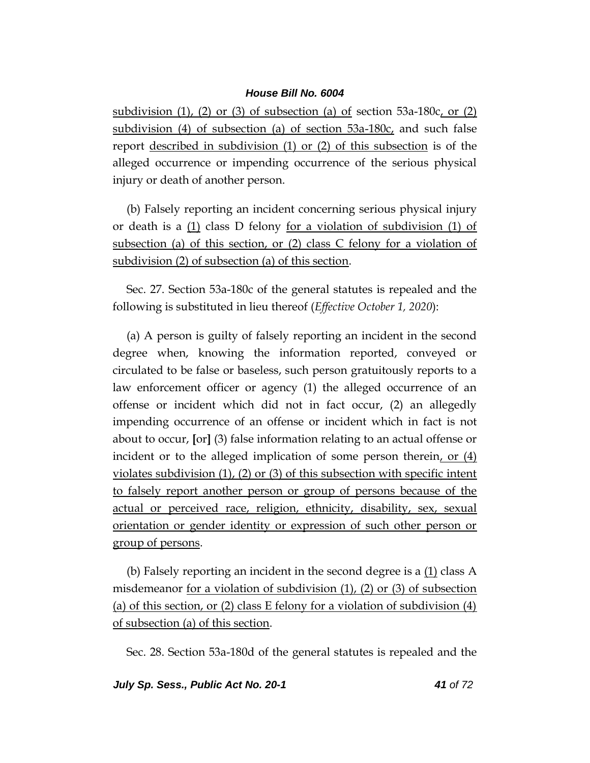subdivision  $(1)$ ,  $(2)$  or  $(3)$  of subsection  $(a)$  of section 53a-180c, or  $(2)$ subdivision (4) of subsection (a) of section  $53a-180c$ , and such false report described in subdivision (1) or (2) of this subsection is of the alleged occurrence or impending occurrence of the serious physical injury or death of another person.

(b) Falsely reporting an incident concerning serious physical injury or death is a  $(1)$  class D felony <u>for a violation of subdivision  $(1)$  of</u> subsection (a) of this section, or (2) class C felony for a violation of subdivision (2) of subsection (a) of this section.

Sec. 27. Section 53a-180c of the general statutes is repealed and the following is substituted in lieu thereof (*Effective October 1, 2020*):

(a) A person is guilty of falsely reporting an incident in the second degree when, knowing the information reported, conveyed or circulated to be false or baseless, such person gratuitously reports to a law enforcement officer or agency (1) the alleged occurrence of an offense or incident which did not in fact occur, (2) an allegedly impending occurrence of an offense or incident which in fact is not about to occur, **[**or**]** (3) false information relating to an actual offense or incident or to the alleged implication of some person therein, or (4) violates subdivision (1), (2) or (3) of this subsection with specific intent to falsely report another person or group of persons because of the actual or perceived race, religion, ethnicity, disability, sex, sexual orientation or gender identity or expression of such other person or group of persons.

(b) Falsely reporting an incident in the second degree is a  $(1)$  class A misdemeanor for a violation of subdivision (1), (2) or (3) of subsection (a) of this section, or (2) class E felony for a violation of subdivision (4) of subsection (a) of this section.

Sec. 28. Section 53a-180d of the general statutes is repealed and the

*July Sp. Sess., Public Act No. 20-1 41 of 72*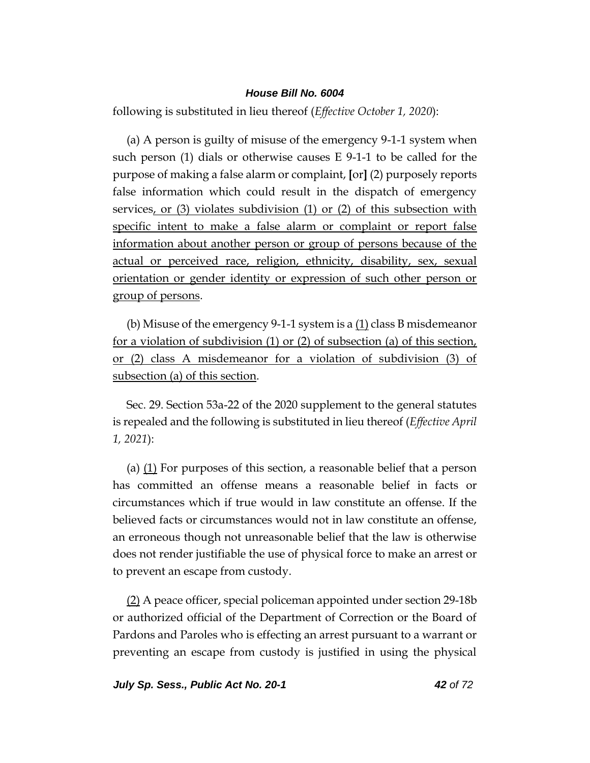following is substituted in lieu thereof (*Effective October 1, 2020*):

(a) A person is guilty of misuse of the emergency 9-1-1 system when such person (1) dials or otherwise causes  $E$  9-1-1 to be called for the purpose of making a false alarm or complaint, **[**or**]** (2) purposely reports false information which could result in the dispatch of emergency services, or (3) violates subdivision (1) or (2) of this subsection with specific intent to make a false alarm or complaint or report false information about another person or group of persons because of the actual or perceived race, religion, ethnicity, disability, sex, sexual orientation or gender identity or expression of such other person or group of persons.

(b) Misuse of the emergency 9-1-1 system is a (1) class B misdemeanor for a violation of subdivision (1) or (2) of subsection (a) of this section, or (2) class A misdemeanor for a violation of subdivision (3) of subsection (a) of this section.

Sec. 29. Section 53a-22 of the 2020 supplement to the general statutes is repealed and the following is substituted in lieu thereof (*Effective April 1, 2021*):

(a) (1) For purposes of this section, a reasonable belief that a person has committed an offense means a reasonable belief in facts or circumstances which if true would in law constitute an offense. If the believed facts or circumstances would not in law constitute an offense, an erroneous though not unreasonable belief that the law is otherwise does not render justifiable the use of physical force to make an arrest or to prevent an escape from custody.

(2) A peace officer, special policeman appointed under section 29-18b or authorized official of the Department of Correction or the Board of Pardons and Paroles who is effecting an arrest pursuant to a warrant or preventing an escape from custody is justified in using the physical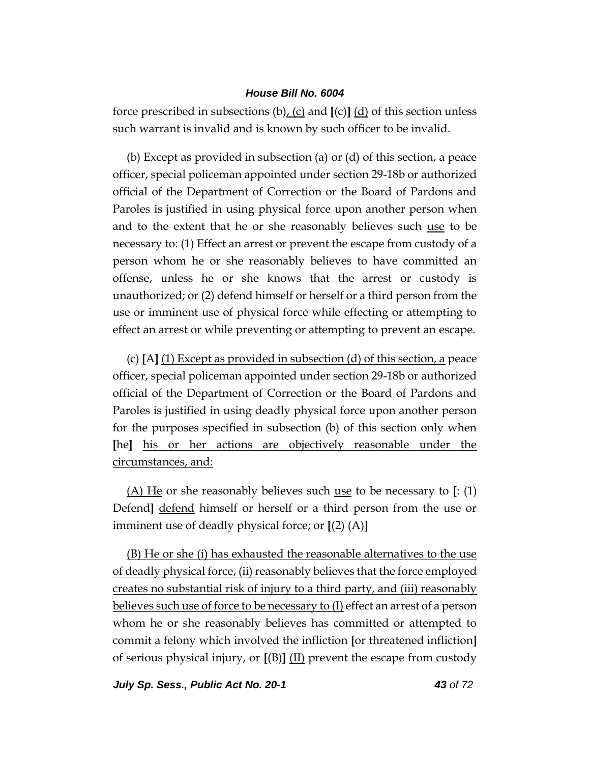force prescribed in subsections (b), (c) and **[**(c)**]** (d) of this section unless such warrant is invalid and is known by such officer to be invalid.

(b) Except as provided in subsection (a)  $or (d)$  of this section, a peace</u> officer, special policeman appointed under section 29-18b or authorized official of the Department of Correction or the Board of Pardons and Paroles is justified in using physical force upon another person when and to the extent that he or she reasonably believes such use to be necessary to: (1) Effect an arrest or prevent the escape from custody of a person whom he or she reasonably believes to have committed an offense, unless he or she knows that the arrest or custody is unauthorized; or (2) defend himself or herself or a third person from the use or imminent use of physical force while effecting or attempting to effect an arrest or while preventing or attempting to prevent an escape.

(c) **[**A**]** (1) Except as provided in subsection (d) of this section, a peace officer, special policeman appointed under section 29-18b or authorized official of the Department of Correction or the Board of Pardons and Paroles is justified in using deadly physical force upon another person for the purposes specified in subsection (b) of this section only when **[**he**]** his or her actions are objectively reasonable under the circumstances, and:

(A) He or she reasonably believes such use to be necessary to **[**: (1) Defend**]** defend himself or herself or a third person from the use or imminent use of deadly physical force; or **[**(2) (A)**]**

(B) He or she (i) has exhausted the reasonable alternatives to the use of deadly physical force, (ii) reasonably believes that the force employed creates no substantial risk of injury to a third party, and (iii) reasonably believes such use of force to be necessary to (I) effect an arrest of a person whom he or she reasonably believes has committed or attempted to commit a felony which involved the infliction **[**or threatened infliction**]** of serious physical injury, or **[**(B)**]** (II) prevent the escape from custody

*July Sp. Sess., Public Act No. 20-1 43 of 72*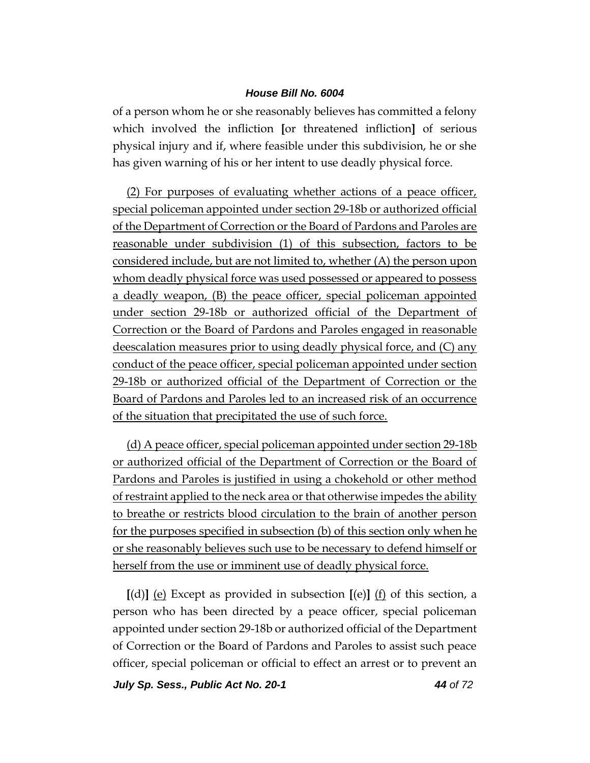of a person whom he or she reasonably believes has committed a felony which involved the infliction **[**or threatened infliction**]** of serious physical injury and if, where feasible under this subdivision, he or she has given warning of his or her intent to use deadly physical force.

(2) For purposes of evaluating whether actions of a peace officer, special policeman appointed under section 29-18b or authorized official of the Department of Correction or the Board of Pardons and Paroles are reasonable under subdivision (1) of this subsection, factors to be considered include, but are not limited to, whether (A) the person upon whom deadly physical force was used possessed or appeared to possess a deadly weapon, (B) the peace officer, special policeman appointed under section 29-18b or authorized official of the Department of Correction or the Board of Pardons and Paroles engaged in reasonable deescalation measures prior to using deadly physical force, and (C) any conduct of the peace officer, special policeman appointed under section 29-18b or authorized official of the Department of Correction or the Board of Pardons and Paroles led to an increased risk of an occurrence of the situation that precipitated the use of such force.

(d) A peace officer, special policeman appointed under section 29-18b or authorized official of the Department of Correction or the Board of Pardons and Paroles is justified in using a chokehold or other method of restraint applied to the neck area or that otherwise impedes the ability to breathe or restricts blood circulation to the brain of another person for the purposes specified in subsection (b) of this section only when he or she reasonably believes such use to be necessary to defend himself or herself from the use or imminent use of deadly physical force.

**[**(d)**]** (e) Except as provided in subsection **[**(e)**]** (f) of this section, a person who has been directed by a peace officer, special policeman appointed under section 29-18b or authorized official of the Department of Correction or the Board of Pardons and Paroles to assist such peace officer, special policeman or official to effect an arrest or to prevent an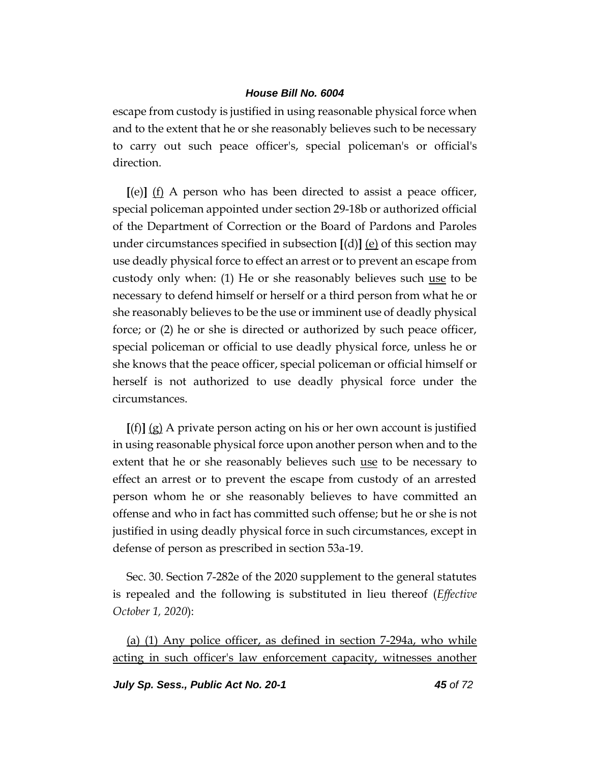escape from custody is justified in using reasonable physical force when and to the extent that he or she reasonably believes such to be necessary to carry out such peace officer's, special policeman's or official's direction.

**[**(e)**]** (f) A person who has been directed to assist a peace officer, special policeman appointed under section 29-18b or authorized official of the Department of Correction or the Board of Pardons and Paroles under circumstances specified in subsection **[**(d)**]** (e) of this section may use deadly physical force to effect an arrest or to prevent an escape from custody only when: (1) He or she reasonably believes such use to be necessary to defend himself or herself or a third person from what he or she reasonably believes to be the use or imminent use of deadly physical force; or (2) he or she is directed or authorized by such peace officer, special policeman or official to use deadly physical force, unless he or she knows that the peace officer, special policeman or official himself or herself is not authorized to use deadly physical force under the circumstances.

**[**(f)**]** (g) A private person acting on his or her own account is justified in using reasonable physical force upon another person when and to the extent that he or she reasonably believes such use to be necessary to effect an arrest or to prevent the escape from custody of an arrested person whom he or she reasonably believes to have committed an offense and who in fact has committed such offense; but he or she is not justified in using deadly physical force in such circumstances, except in defense of person as prescribed in section 53a-19.

Sec. 30. Section 7-282e of the 2020 supplement to the general statutes is repealed and the following is substituted in lieu thereof (*Effective October 1, 2020*):

(a) (1) Any police officer, as defined in section 7-294a, who while acting in such officer's law enforcement capacity, witnesses another

*July Sp. Sess., Public Act No. 20-1 45 of 72*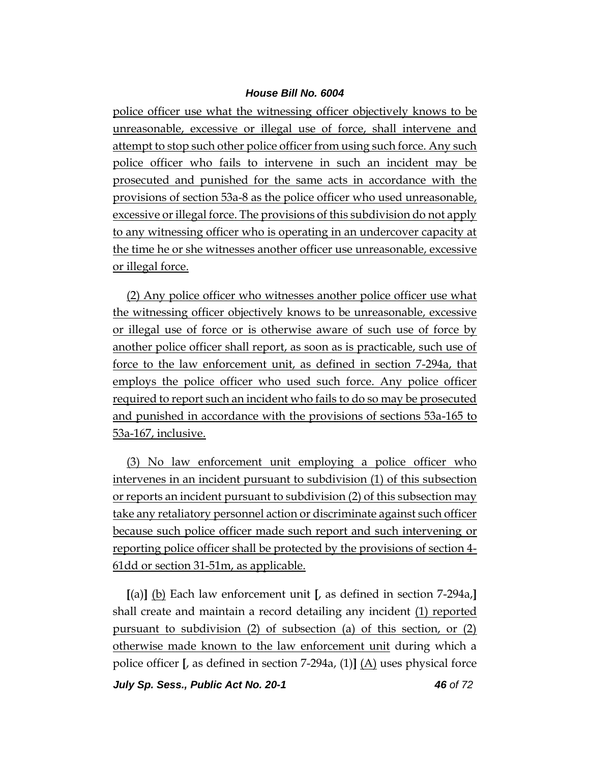police officer use what the witnessing officer objectively knows to be unreasonable, excessive or illegal use of force, shall intervene and attempt to stop such other police officer from using such force. Any such police officer who fails to intervene in such an incident may be prosecuted and punished for the same acts in accordance with the provisions of section 53a-8 as the police officer who used unreasonable, excessive or illegal force. The provisions of this subdivision do not apply to any witnessing officer who is operating in an undercover capacity at the time he or she witnesses another officer use unreasonable, excessive or illegal force.

(2) Any police officer who witnesses another police officer use what the witnessing officer objectively knows to be unreasonable, excessive or illegal use of force or is otherwise aware of such use of force by another police officer shall report, as soon as is practicable, such use of force to the law enforcement unit, as defined in section 7-294a, that employs the police officer who used such force. Any police officer required to report such an incident who fails to do so may be prosecuted and punished in accordance with the provisions of sections 53a-165 to 53a-167, inclusive.

(3) No law enforcement unit employing a police officer who intervenes in an incident pursuant to subdivision (1) of this subsection or reports an incident pursuant to subdivision (2) of this subsection may take any retaliatory personnel action or discriminate against such officer because such police officer made such report and such intervening or reporting police officer shall be protected by the provisions of section 4- 61dd or section 31-51m, as applicable.

**[**(a)**]** (b) Each law enforcement unit **[**, as defined in section 7-294a,**]** shall create and maintain a record detailing any incident (1) reported pursuant to subdivision (2) of subsection (a) of this section, or (2) otherwise made known to the law enforcement unit during which a police officer **[**, as defined in section 7-294a, (1)**]** (A) uses physical force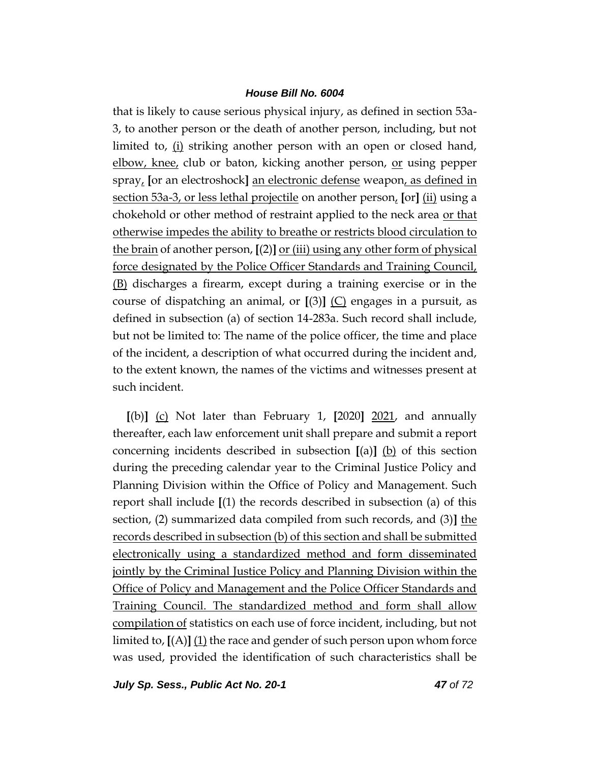that is likely to cause serious physical injury, as defined in section 53a-3, to another person or the death of another person, including, but not limited to, (i) striking another person with an open or closed hand, elbow, knee, club or baton, kicking another person, <u>or</u> using pepper spray, **[**or an electroshock**]** an electronic defense weapon, as defined in section 53a-3, or less lethal projectile on another person, **[**or**]** (ii) using a chokehold or other method of restraint applied to the neck area or that otherwise impedes the ability to breathe or restricts blood circulation to the brain of another person, **[**(2)**]** or (iii) using any other form of physical force designated by the Police Officer Standards and Training Council, (B) discharges a firearm, except during a training exercise or in the course of dispatching an animal, or **[**(3)**]** (C) engages in a pursuit, as defined in subsection (a) of section 14-283a. Such record shall include, but not be limited to: The name of the police officer, the time and place of the incident, a description of what occurred during the incident and, to the extent known, the names of the victims and witnesses present at such incident.

**[**(b)**]** (c) Not later than February 1, **[**2020**]** 2021, and annually thereafter, each law enforcement unit shall prepare and submit a report concerning incidents described in subsection **[**(a)**]** (b) of this section during the preceding calendar year to the Criminal Justice Policy and Planning Division within the Office of Policy and Management. Such report shall include **[**(1) the records described in subsection (a) of this section, (2) summarized data compiled from such records, and (3)**]** the records described in subsection (b) of this section and shall be submitted electronically using a standardized method and form disseminated jointly by the Criminal Justice Policy and Planning Division within the Office of Policy and Management and the Police Officer Standards and Training Council. The standardized method and form shall allow compilation of statistics on each use of force incident, including, but not limited to, **[**(A)**]** (1) the race and gender of such person upon whom force was used, provided the identification of such characteristics shall be

*July Sp. Sess., Public Act No. 20-1 47 of 72*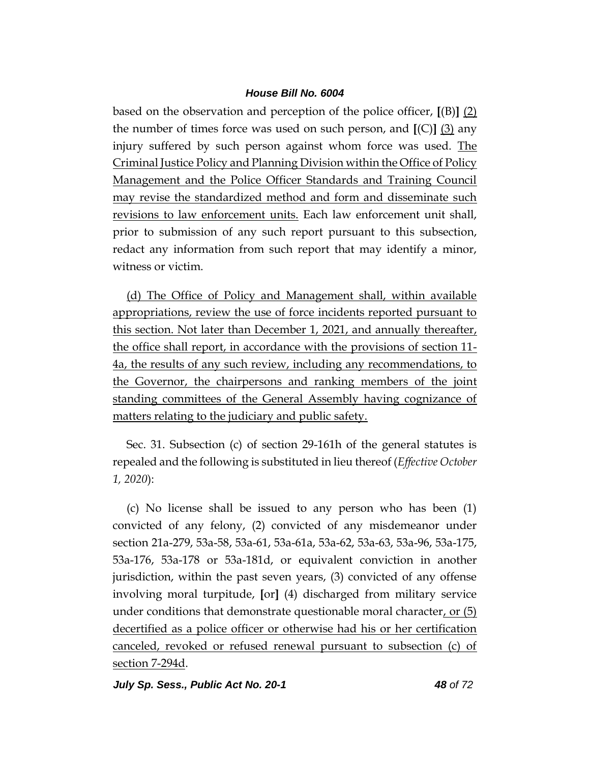based on the observation and perception of the police officer, **[**(B)**]** (2) the number of times force was used on such person, and **[**(C)**]** (3) any injury suffered by such person against whom force was used. The Criminal Justice Policy and Planning Division within the Office of Policy Management and the Police Officer Standards and Training Council may revise the standardized method and form and disseminate such revisions to law enforcement units. Each law enforcement unit shall, prior to submission of any such report pursuant to this subsection, redact any information from such report that may identify a minor, witness or victim.

(d) The Office of Policy and Management shall, within available appropriations, review the use of force incidents reported pursuant to this section. Not later than December 1, 2021, and annually thereafter, the office shall report, in accordance with the provisions of section 11- 4a, the results of any such review, including any recommendations, to the Governor, the chairpersons and ranking members of the joint standing committees of the General Assembly having cognizance of matters relating to the judiciary and public safety.

Sec. 31. Subsection (c) of section 29-161h of the general statutes is repealed and the following is substituted in lieu thereof (*Effective October 1, 2020*):

(c) No license shall be issued to any person who has been (1) convicted of any felony, (2) convicted of any misdemeanor under section 21a-279, 53a-58, 53a-61, 53a-61a, 53a-62, 53a-63, 53a-96, 53a-175, 53a-176, 53a-178 or 53a-181d, or equivalent conviction in another jurisdiction, within the past seven years, (3) convicted of any offense involving moral turpitude, **[**or**]** (4) discharged from military service under conditions that demonstrate questionable moral character, or  $(5)$ decertified as a police officer or otherwise had his or her certification canceled, revoked or refused renewal pursuant to subsection (c) of section 7-294d.

*July Sp. Sess., Public Act No. 20-1 48 of 72*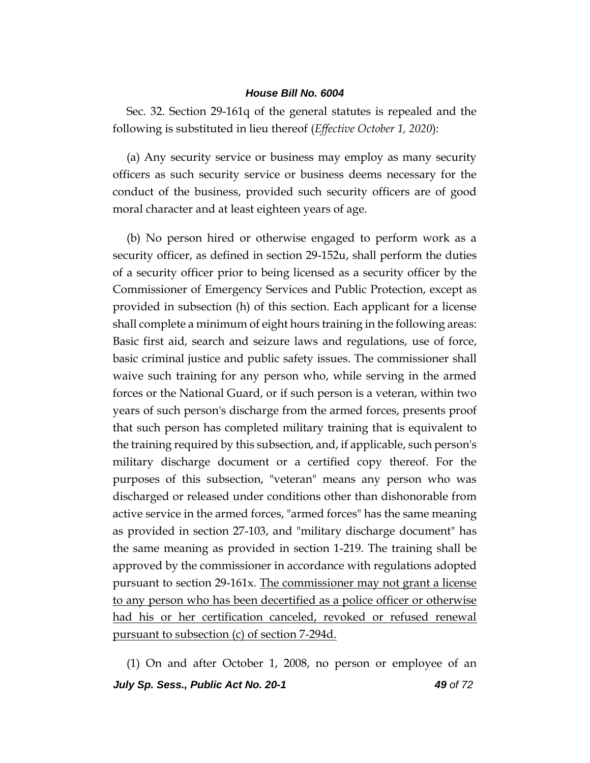Sec. 32. Section 29-161q of the general statutes is repealed and the following is substituted in lieu thereof (*Effective October 1, 2020*):

(a) Any security service or business may employ as many security officers as such security service or business deems necessary for the conduct of the business, provided such security officers are of good moral character and at least eighteen years of age.

(b) No person hired or otherwise engaged to perform work as a security officer, as defined in section 29-152u, shall perform the duties of a security officer prior to being licensed as a security officer by the Commissioner of Emergency Services and Public Protection, except as provided in subsection (h) of this section. Each applicant for a license shall complete a minimum of eight hours training in the following areas: Basic first aid, search and seizure laws and regulations, use of force, basic criminal justice and public safety issues. The commissioner shall waive such training for any person who, while serving in the armed forces or the National Guard, or if such person is a veteran, within two years of such person's discharge from the armed forces, presents proof that such person has completed military training that is equivalent to the training required by this subsection, and, if applicable, such person's military discharge document or a certified copy thereof. For the purposes of this subsection, "veteran" means any person who was discharged or released under conditions other than dishonorable from active service in the armed forces, "armed forces" has the same meaning as provided in section 27-103, and "military discharge document" has the same meaning as provided in section 1-219. The training shall be approved by the commissioner in accordance with regulations adopted pursuant to section 29-161x. The commissioner may not grant a license to any person who has been decertified as a police officer or otherwise had his or her certification canceled, revoked or refused renewal pursuant to subsection (c) of section 7-294d.

*July Sp. Sess., Public Act No. 20-1 49 of 72* (1) On and after October 1, 2008, no person or employee of an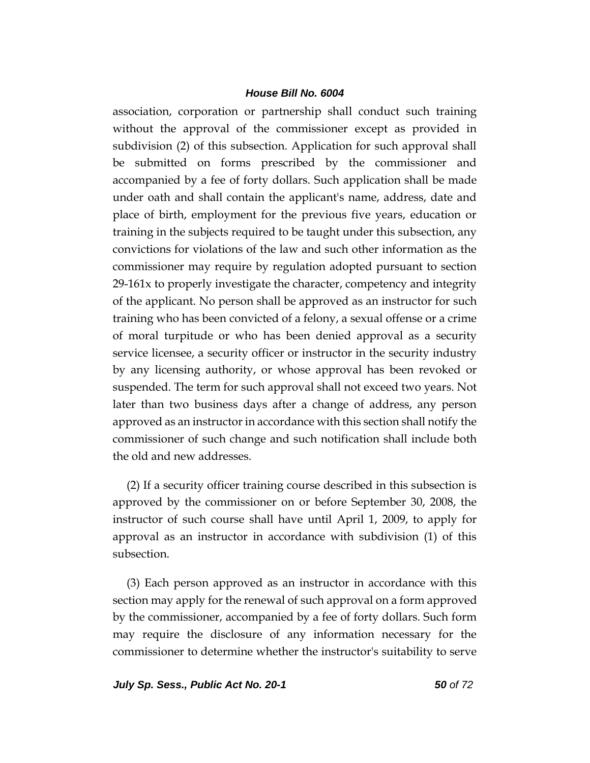association, corporation or partnership shall conduct such training without the approval of the commissioner except as provided in subdivision (2) of this subsection. Application for such approval shall be submitted on forms prescribed by the commissioner and accompanied by a fee of forty dollars. Such application shall be made under oath and shall contain the applicant's name, address, date and place of birth, employment for the previous five years, education or training in the subjects required to be taught under this subsection, any convictions for violations of the law and such other information as the commissioner may require by regulation adopted pursuant to section 29-161x to properly investigate the character, competency and integrity of the applicant. No person shall be approved as an instructor for such training who has been convicted of a felony, a sexual offense or a crime of moral turpitude or who has been denied approval as a security service licensee, a security officer or instructor in the security industry by any licensing authority, or whose approval has been revoked or suspended. The term for such approval shall not exceed two years. Not later than two business days after a change of address, any person approved as an instructor in accordance with this section shall notify the commissioner of such change and such notification shall include both the old and new addresses.

(2) If a security officer training course described in this subsection is approved by the commissioner on or before September 30, 2008, the instructor of such course shall have until April 1, 2009, to apply for approval as an instructor in accordance with subdivision (1) of this subsection.

(3) Each person approved as an instructor in accordance with this section may apply for the renewal of such approval on a form approved by the commissioner, accompanied by a fee of forty dollars. Such form may require the disclosure of any information necessary for the commissioner to determine whether the instructor's suitability to serve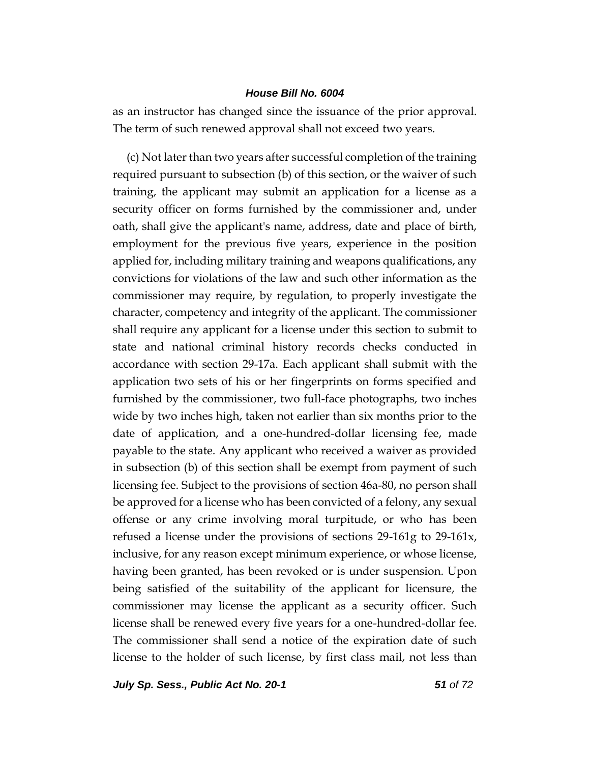as an instructor has changed since the issuance of the prior approval. The term of such renewed approval shall not exceed two years.

(c) Not later than two years after successful completion of the training required pursuant to subsection (b) of this section, or the waiver of such training, the applicant may submit an application for a license as a security officer on forms furnished by the commissioner and, under oath, shall give the applicant's name, address, date and place of birth, employment for the previous five years, experience in the position applied for, including military training and weapons qualifications, any convictions for violations of the law and such other information as the commissioner may require, by regulation, to properly investigate the character, competency and integrity of the applicant. The commissioner shall require any applicant for a license under this section to submit to state and national criminal history records checks conducted in accordance with section 29-17a. Each applicant shall submit with the application two sets of his or her fingerprints on forms specified and furnished by the commissioner, two full-face photographs, two inches wide by two inches high, taken not earlier than six months prior to the date of application, and a one-hundred-dollar licensing fee, made payable to the state. Any applicant who received a waiver as provided in subsection (b) of this section shall be exempt from payment of such licensing fee. Subject to the provisions of section 46a-80, no person shall be approved for a license who has been convicted of a felony, any sexual offense or any crime involving moral turpitude, or who has been refused a license under the provisions of sections 29-161g to 29-161x, inclusive, for any reason except minimum experience, or whose license, having been granted, has been revoked or is under suspension. Upon being satisfied of the suitability of the applicant for licensure, the commissioner may license the applicant as a security officer. Such license shall be renewed every five years for a one-hundred-dollar fee. The commissioner shall send a notice of the expiration date of such license to the holder of such license, by first class mail, not less than

*July Sp. Sess., Public Act No. 20-1 51 of 72*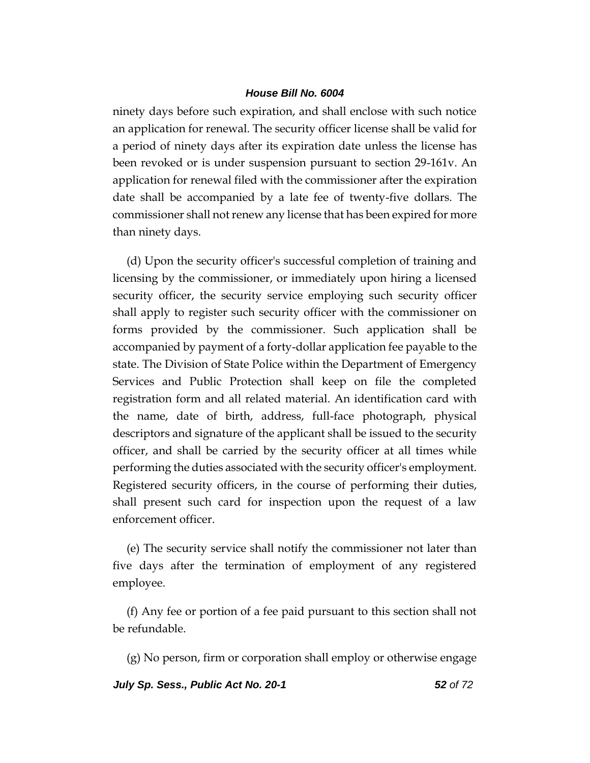ninety days before such expiration, and shall enclose with such notice an application for renewal. The security officer license shall be valid for a period of ninety days after its expiration date unless the license has been revoked or is under suspension pursuant to section 29-161v. An application for renewal filed with the commissioner after the expiration date shall be accompanied by a late fee of twenty-five dollars. The commissioner shall not renew any license that has been expired for more than ninety days.

(d) Upon the security officer's successful completion of training and licensing by the commissioner, or immediately upon hiring a licensed security officer, the security service employing such security officer shall apply to register such security officer with the commissioner on forms provided by the commissioner. Such application shall be accompanied by payment of a forty-dollar application fee payable to the state. The Division of State Police within the Department of Emergency Services and Public Protection shall keep on file the completed registration form and all related material. An identification card with the name, date of birth, address, full-face photograph, physical descriptors and signature of the applicant shall be issued to the security officer, and shall be carried by the security officer at all times while performing the duties associated with the security officer's employment. Registered security officers, in the course of performing their duties, shall present such card for inspection upon the request of a law enforcement officer.

(e) The security service shall notify the commissioner not later than five days after the termination of employment of any registered employee.

(f) Any fee or portion of a fee paid pursuant to this section shall not be refundable.

(g) No person, firm or corporation shall employ or otherwise engage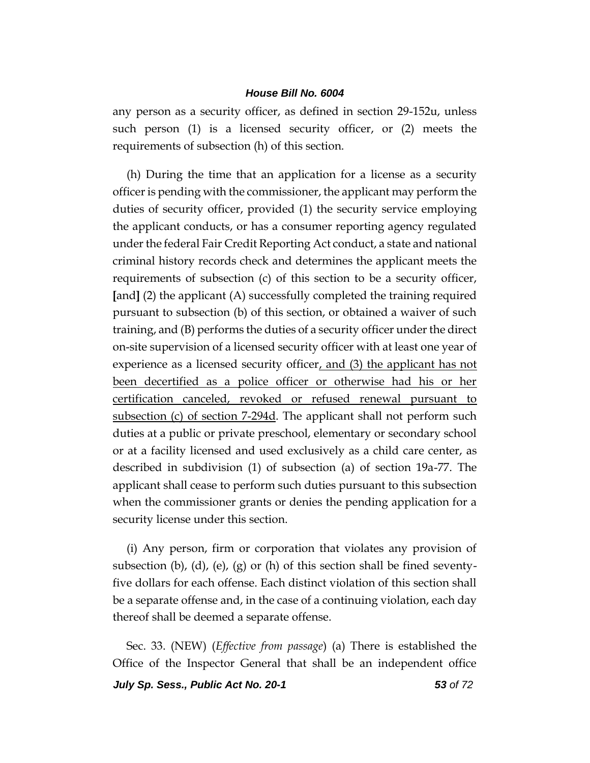any person as a security officer, as defined in section 29-152u, unless such person (1) is a licensed security officer, or (2) meets the requirements of subsection (h) of this section.

(h) During the time that an application for a license as a security officer is pending with the commissioner, the applicant may perform the duties of security officer, provided (1) the security service employing the applicant conducts, or has a consumer reporting agency regulated under the federal Fair Credit Reporting Act conduct, a state and national criminal history records check and determines the applicant meets the requirements of subsection (c) of this section to be a security officer, **[**and**]** (2) the applicant (A) successfully completed the training required pursuant to subsection (b) of this section, or obtained a waiver of such training, and (B) performs the duties of a security officer under the direct on-site supervision of a licensed security officer with at least one year of experience as a licensed security officer, and (3) the applicant has not been decertified as a police officer or otherwise had his or her certification canceled, revoked or refused renewal pursuant to subsection (c) of section 7-294d. The applicant shall not perform such duties at a public or private preschool, elementary or secondary school or at a facility licensed and used exclusively as a child care center, as described in subdivision (1) of subsection (a) of section 19a-77. The applicant shall cease to perform such duties pursuant to this subsection when the commissioner grants or denies the pending application for a security license under this section.

(i) Any person, firm or corporation that violates any provision of subsection (b), (d), (e), (g) or (h) of this section shall be fined seventyfive dollars for each offense. Each distinct violation of this section shall be a separate offense and, in the case of a continuing violation, each day thereof shall be deemed a separate offense.

Sec. 33. (NEW) (*Effective from passage*) (a) There is established the Office of the Inspector General that shall be an independent office

*July Sp. Sess., Public Act No. 20-1 53 of 72*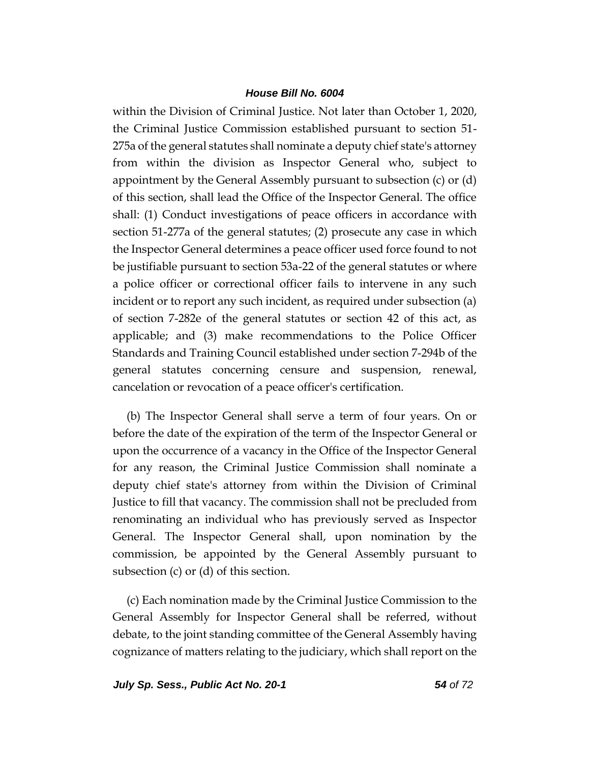within the Division of Criminal Justice. Not later than October 1, 2020, the Criminal Justice Commission established pursuant to section 51- 275a of the general statutes shall nominate a deputy chief state's attorney from within the division as Inspector General who, subject to appointment by the General Assembly pursuant to subsection (c) or (d) of this section, shall lead the Office of the Inspector General. The office shall: (1) Conduct investigations of peace officers in accordance with section 51-277a of the general statutes; (2) prosecute any case in which the Inspector General determines a peace officer used force found to not be justifiable pursuant to section 53a-22 of the general statutes or where a police officer or correctional officer fails to intervene in any such incident or to report any such incident, as required under subsection (a) of section 7-282e of the general statutes or section 42 of this act, as applicable; and (3) make recommendations to the Police Officer Standards and Training Council established under section 7-294b of the general statutes concerning censure and suspension, renewal, cancelation or revocation of a peace officer's certification.

(b) The Inspector General shall serve a term of four years. On or before the date of the expiration of the term of the Inspector General or upon the occurrence of a vacancy in the Office of the Inspector General for any reason, the Criminal Justice Commission shall nominate a deputy chief state's attorney from within the Division of Criminal Justice to fill that vacancy. The commission shall not be precluded from renominating an individual who has previously served as Inspector General. The Inspector General shall, upon nomination by the commission, be appointed by the General Assembly pursuant to subsection (c) or (d) of this section.

(c) Each nomination made by the Criminal Justice Commission to the General Assembly for Inspector General shall be referred, without debate, to the joint standing committee of the General Assembly having cognizance of matters relating to the judiciary, which shall report on the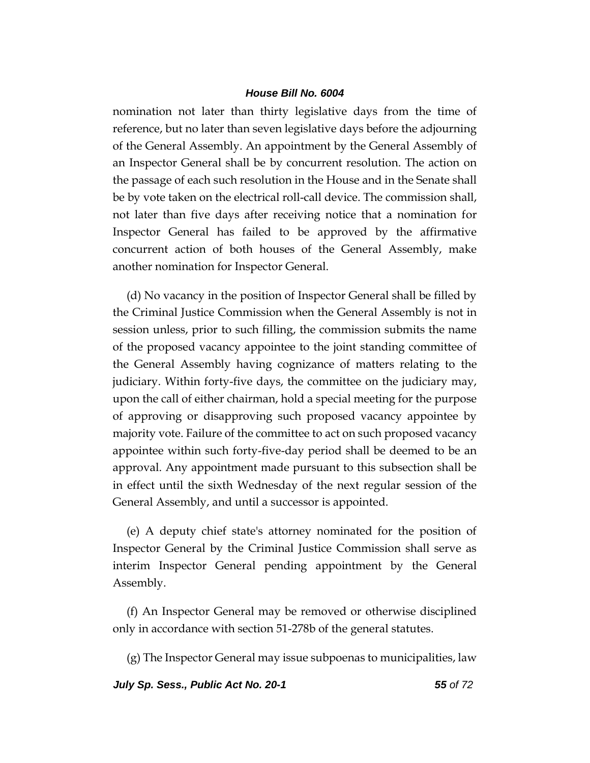nomination not later than thirty legislative days from the time of reference, but no later than seven legislative days before the adjourning of the General Assembly. An appointment by the General Assembly of an Inspector General shall be by concurrent resolution. The action on the passage of each such resolution in the House and in the Senate shall be by vote taken on the electrical roll-call device. The commission shall, not later than five days after receiving notice that a nomination for Inspector General has failed to be approved by the affirmative concurrent action of both houses of the General Assembly, make another nomination for Inspector General.

(d) No vacancy in the position of Inspector General shall be filled by the Criminal Justice Commission when the General Assembly is not in session unless, prior to such filling, the commission submits the name of the proposed vacancy appointee to the joint standing committee of the General Assembly having cognizance of matters relating to the judiciary. Within forty-five days, the committee on the judiciary may, upon the call of either chairman, hold a special meeting for the purpose of approving or disapproving such proposed vacancy appointee by majority vote. Failure of the committee to act on such proposed vacancy appointee within such forty-five-day period shall be deemed to be an approval. Any appointment made pursuant to this subsection shall be in effect until the sixth Wednesday of the next regular session of the General Assembly, and until a successor is appointed.

(e) A deputy chief state's attorney nominated for the position of Inspector General by the Criminal Justice Commission shall serve as interim Inspector General pending appointment by the General Assembly.

(f) An Inspector General may be removed or otherwise disciplined only in accordance with section 51-278b of the general statutes.

(g) The Inspector General may issue subpoenas to municipalities, law

*July Sp. Sess., Public Act No. 20-1 55 of 72*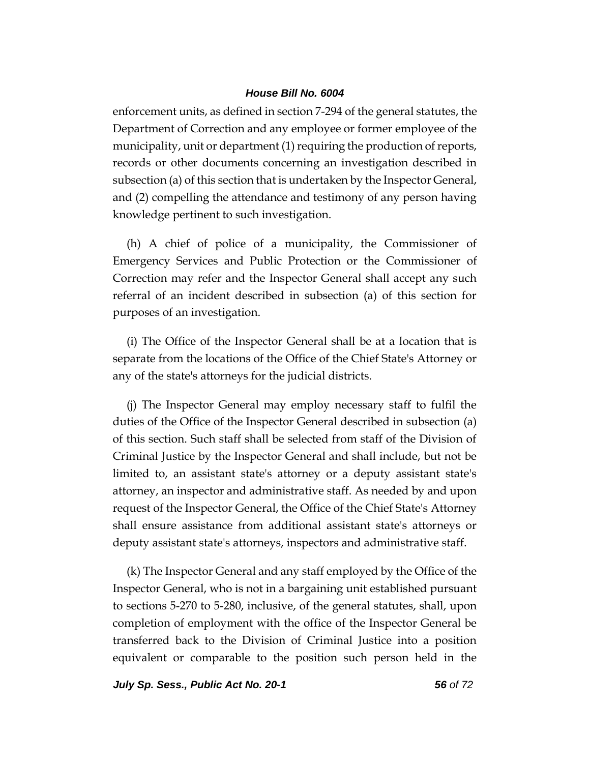enforcement units, as defined in section 7-294 of the general statutes, the Department of Correction and any employee or former employee of the municipality, unit or department (1) requiring the production of reports, records or other documents concerning an investigation described in subsection (a) of this section that is undertaken by the Inspector General, and (2) compelling the attendance and testimony of any person having knowledge pertinent to such investigation.

(h) A chief of police of a municipality, the Commissioner of Emergency Services and Public Protection or the Commissioner of Correction may refer and the Inspector General shall accept any such referral of an incident described in subsection (a) of this section for purposes of an investigation.

(i) The Office of the Inspector General shall be at a location that is separate from the locations of the Office of the Chief State's Attorney or any of the state's attorneys for the judicial districts.

(j) The Inspector General may employ necessary staff to fulfil the duties of the Office of the Inspector General described in subsection (a) of this section. Such staff shall be selected from staff of the Division of Criminal Justice by the Inspector General and shall include, but not be limited to, an assistant state's attorney or a deputy assistant state's attorney, an inspector and administrative staff. As needed by and upon request of the Inspector General, the Office of the Chief State's Attorney shall ensure assistance from additional assistant state's attorneys or deputy assistant state's attorneys, inspectors and administrative staff.

(k) The Inspector General and any staff employed by the Office of the Inspector General, who is not in a bargaining unit established pursuant to sections 5-270 to 5-280, inclusive, of the general statutes, shall, upon completion of employment with the office of the Inspector General be transferred back to the Division of Criminal Justice into a position equivalent or comparable to the position such person held in the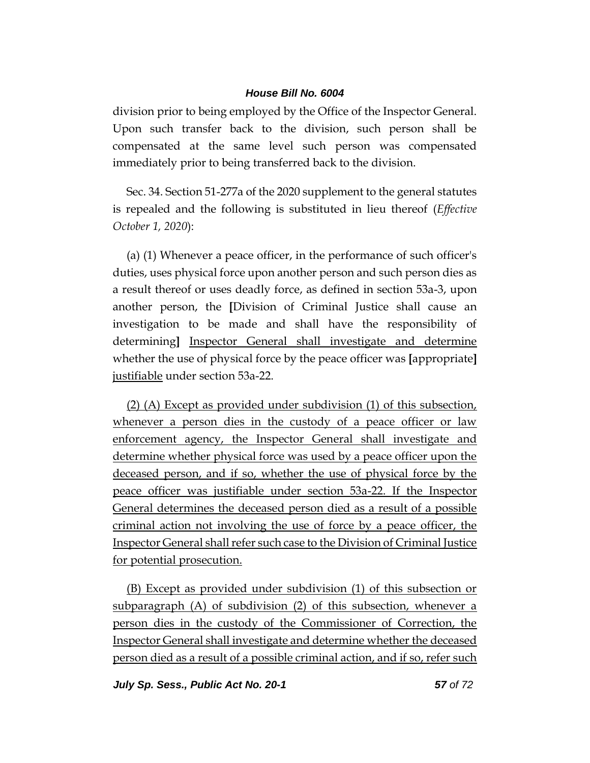division prior to being employed by the Office of the Inspector General. Upon such transfer back to the division, such person shall be compensated at the same level such person was compensated immediately prior to being transferred back to the division.

Sec. 34. Section 51-277a of the 2020 supplement to the general statutes is repealed and the following is substituted in lieu thereof (*Effective October 1, 2020*):

(a) (1) Whenever a peace officer, in the performance of such officer's duties, uses physical force upon another person and such person dies as a result thereof or uses deadly force, as defined in section 53a-3, upon another person, the **[**Division of Criminal Justice shall cause an investigation to be made and shall have the responsibility of determining**]** Inspector General shall investigate and determine whether the use of physical force by the peace officer was **[**appropriate**]**  justifiable under section 53a-22.

(2) (A) Except as provided under subdivision (1) of this subsection, whenever a person dies in the custody of a peace officer or law enforcement agency, the Inspector General shall investigate and determine whether physical force was used by a peace officer upon the deceased person, and if so, whether the use of physical force by the peace officer was justifiable under section 53a-22. If the Inspector General determines the deceased person died as a result of a possible criminal action not involving the use of force by a peace officer, the Inspector General shall refer such case to the Division of Criminal Justice for potential prosecution.

(B) Except as provided under subdivision (1) of this subsection or subparagraph (A) of subdivision (2) of this subsection, whenever a person dies in the custody of the Commissioner of Correction, the Inspector General shall investigate and determine whether the deceased person died as a result of a possible criminal action, and if so, refer such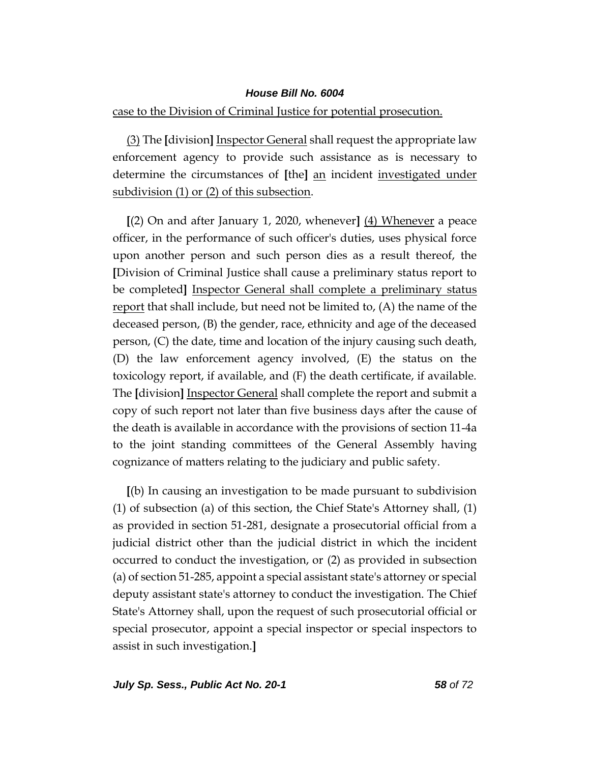case to the Division of Criminal Justice for potential prosecution.

(3) The **[**division**]** Inspector General shall request the appropriate law enforcement agency to provide such assistance as is necessary to determine the circumstances of **[**the**]** an incident investigated under subdivision (1) or (2) of this subsection.

**[**(2) On and after January 1, 2020, whenever**]** (4) Whenever a peace officer, in the performance of such officer's duties, uses physical force upon another person and such person dies as a result thereof, the **[**Division of Criminal Justice shall cause a preliminary status report to be completed**]** Inspector General shall complete a preliminary status report that shall include, but need not be limited to, (A) the name of the deceased person, (B) the gender, race, ethnicity and age of the deceased person, (C) the date, time and location of the injury causing such death, (D) the law enforcement agency involved, (E) the status on the toxicology report, if available, and (F) the death certificate, if available. The **[**division**]** Inspector General shall complete the report and submit a copy of such report not later than five business days after the cause of the death is available in accordance with the provisions of section 11-4a to the joint standing committees of the General Assembly having cognizance of matters relating to the judiciary and public safety.

**[**(b) In causing an investigation to be made pursuant to subdivision (1) of subsection (a) of this section, the Chief State's Attorney shall, (1) as provided in section 51-281, designate a prosecutorial official from a judicial district other than the judicial district in which the incident occurred to conduct the investigation, or (2) as provided in subsection (a) of section 51-285, appoint a special assistant state's attorney or special deputy assistant state's attorney to conduct the investigation. The Chief State's Attorney shall, upon the request of such prosecutorial official or special prosecutor, appoint a special inspector or special inspectors to assist in such investigation.**]**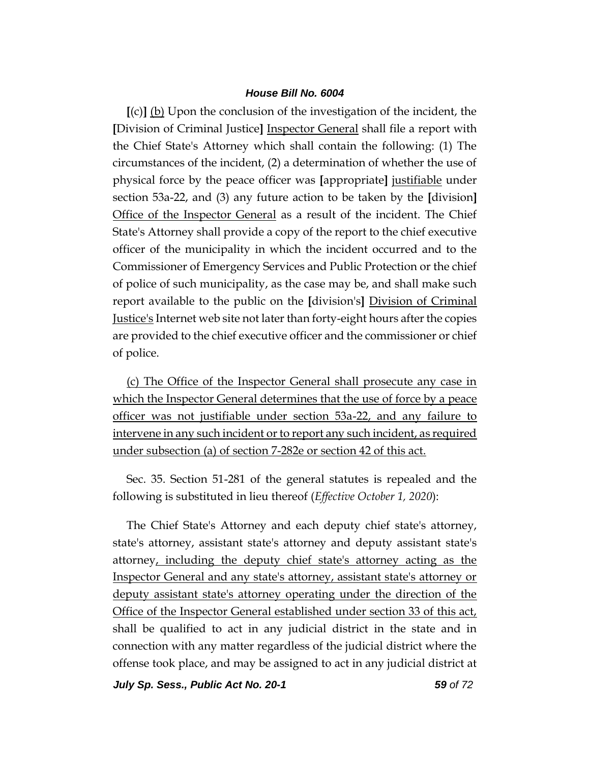**[**(c)**]** (b) Upon the conclusion of the investigation of the incident, the **[**Division of Criminal Justice**]** Inspector General shall file a report with the Chief State's Attorney which shall contain the following: (1) The circumstances of the incident, (2) a determination of whether the use of physical force by the peace officer was **[**appropriate**]** justifiable under section 53a-22, and (3) any future action to be taken by the **[**division**]**  Office of the Inspector General as a result of the incident. The Chief State's Attorney shall provide a copy of the report to the chief executive officer of the municipality in which the incident occurred and to the Commissioner of Emergency Services and Public Protection or the chief of police of such municipality, as the case may be, and shall make such report available to the public on the **[**division's**]** Division of Criminal Justice's Internet web site not later than forty-eight hours after the copies are provided to the chief executive officer and the commissioner or chief of police.

(c) The Office of the Inspector General shall prosecute any case in which the Inspector General determines that the use of force by a peace officer was not justifiable under section 53a-22, and any failure to intervene in any such incident or to report any such incident, as required under subsection (a) of section 7-282e or section 42 of this act.

Sec. 35. Section 51-281 of the general statutes is repealed and the following is substituted in lieu thereof (*Effective October 1, 2020*):

The Chief State's Attorney and each deputy chief state's attorney, state's attorney, assistant state's attorney and deputy assistant state's attorney, including the deputy chief state's attorney acting as the Inspector General and any state's attorney, assistant state's attorney or deputy assistant state's attorney operating under the direction of the Office of the Inspector General established under section 33 of this act, shall be qualified to act in any judicial district in the state and in connection with any matter regardless of the judicial district where the offense took place, and may be assigned to act in any judicial district at

*July Sp. Sess., Public Act No. 20-1 59 of 72*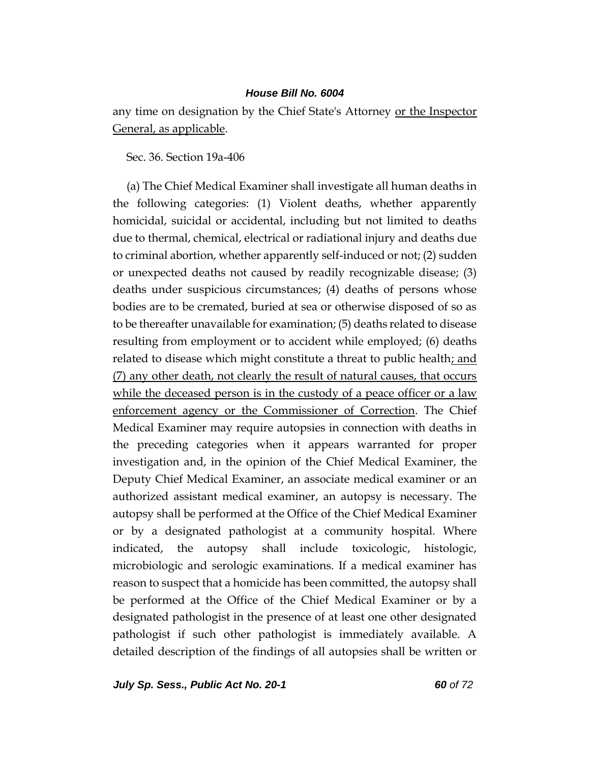any time on designation by the Chief State's Attorney or the Inspector General, as applicable.

Sec. 36. Section 19a-406

(a) The Chief Medical Examiner shall investigate all human deaths in the following categories: (1) Violent deaths, whether apparently homicidal, suicidal or accidental, including but not limited to deaths due to thermal, chemical, electrical or radiational injury and deaths due to criminal abortion, whether apparently self-induced or not; (2) sudden or unexpected deaths not caused by readily recognizable disease; (3) deaths under suspicious circumstances; (4) deaths of persons whose bodies are to be cremated, buried at sea or otherwise disposed of so as to be thereafter unavailable for examination; (5) deaths related to disease resulting from employment or to accident while employed; (6) deaths related to disease which might constitute a threat to public health; and (7) any other death, not clearly the result of natural causes, that occurs while the deceased person is in the custody of a peace officer or a law enforcement agency or the Commissioner of Correction. The Chief Medical Examiner may require autopsies in connection with deaths in the preceding categories when it appears warranted for proper investigation and, in the opinion of the Chief Medical Examiner, the Deputy Chief Medical Examiner, an associate medical examiner or an authorized assistant medical examiner, an autopsy is necessary. The autopsy shall be performed at the Office of the Chief Medical Examiner or by a designated pathologist at a community hospital. Where indicated, the autopsy shall include toxicologic, histologic, microbiologic and serologic examinations. If a medical examiner has reason to suspect that a homicide has been committed, the autopsy shall be performed at the Office of the Chief Medical Examiner or by a designated pathologist in the presence of at least one other designated pathologist if such other pathologist is immediately available. A detailed description of the findings of all autopsies shall be written or

*July Sp. Sess., Public Act No. 20-1 60 of 72*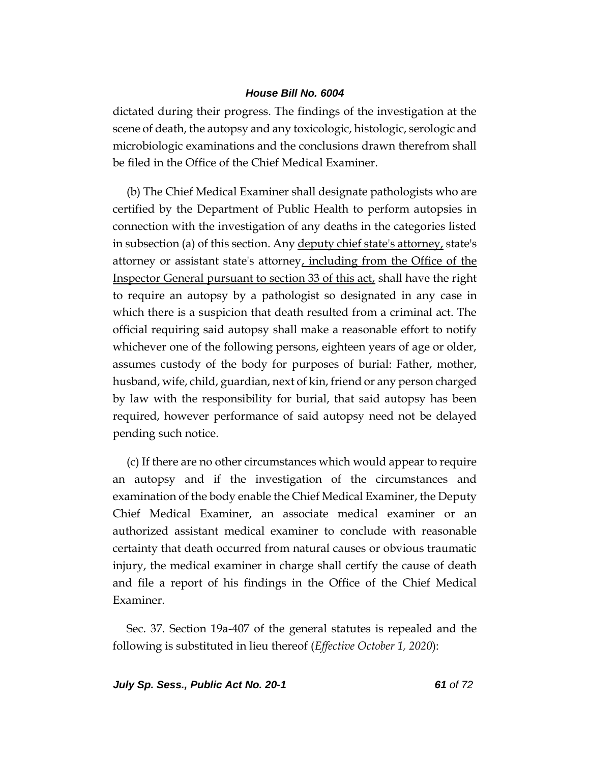dictated during their progress. The findings of the investigation at the scene of death, the autopsy and any toxicologic, histologic, serologic and microbiologic examinations and the conclusions drawn therefrom shall be filed in the Office of the Chief Medical Examiner.

(b) The Chief Medical Examiner shall designate pathologists who are certified by the Department of Public Health to perform autopsies in connection with the investigation of any deaths in the categories listed in subsection (a) of this section. Any deputy chief state's attorney, state's attorney or assistant state's attorney, including from the Office of the Inspector General pursuant to section 33 of this act, shall have the right to require an autopsy by a pathologist so designated in any case in which there is a suspicion that death resulted from a criminal act. The official requiring said autopsy shall make a reasonable effort to notify whichever one of the following persons, eighteen years of age or older, assumes custody of the body for purposes of burial: Father, mother, husband, wife, child, guardian, next of kin, friend or any person charged by law with the responsibility for burial, that said autopsy has been required, however performance of said autopsy need not be delayed pending such notice.

(c) If there are no other circumstances which would appear to require an autopsy and if the investigation of the circumstances and examination of the body enable the Chief Medical Examiner, the Deputy Chief Medical Examiner, an associate medical examiner or an authorized assistant medical examiner to conclude with reasonable certainty that death occurred from natural causes or obvious traumatic injury, the medical examiner in charge shall certify the cause of death and file a report of his findings in the Office of the Chief Medical Examiner.

Sec. 37. Section 19a-407 of the general statutes is repealed and the following is substituted in lieu thereof (*Effective October 1, 2020*):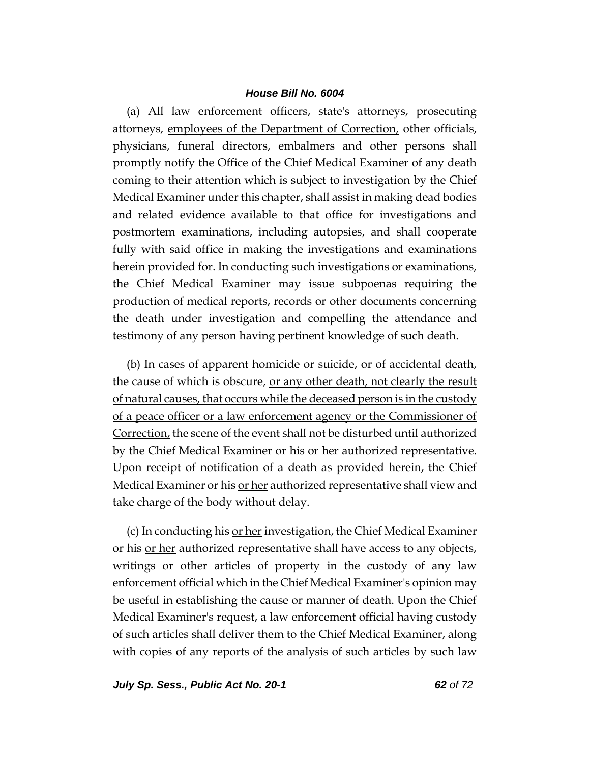(a) All law enforcement officers, state's attorneys, prosecuting attorneys, employees of the Department of Correction, other officials, physicians, funeral directors, embalmers and other persons shall promptly notify the Office of the Chief Medical Examiner of any death coming to their attention which is subject to investigation by the Chief Medical Examiner under this chapter, shall assist in making dead bodies and related evidence available to that office for investigations and postmortem examinations, including autopsies, and shall cooperate fully with said office in making the investigations and examinations herein provided for. In conducting such investigations or examinations, the Chief Medical Examiner may issue subpoenas requiring the production of medical reports, records or other documents concerning the death under investigation and compelling the attendance and testimony of any person having pertinent knowledge of such death.

(b) In cases of apparent homicide or suicide, or of accidental death, the cause of which is obscure, or any other death, not clearly the result of natural causes, that occurs while the deceased person is in the custody of a peace officer or a law enforcement agency or the Commissioner of Correction, the scene of the event shall not be disturbed until authorized by the Chief Medical Examiner or his or her authorized representative. Upon receipt of notification of a death as provided herein, the Chief Medical Examiner or his <u>or her</u> authorized representative shall view and take charge of the body without delay.

(c) In conducting his or her investigation, the Chief Medical Examiner or his <u>or her</u> authorized representative shall have access to any objects, writings or other articles of property in the custody of any law enforcement official which in the Chief Medical Examiner's opinion may be useful in establishing the cause or manner of death. Upon the Chief Medical Examiner's request, a law enforcement official having custody of such articles shall deliver them to the Chief Medical Examiner, along with copies of any reports of the analysis of such articles by such law

*July Sp. Sess., Public Act No. 20-1 62 of 72*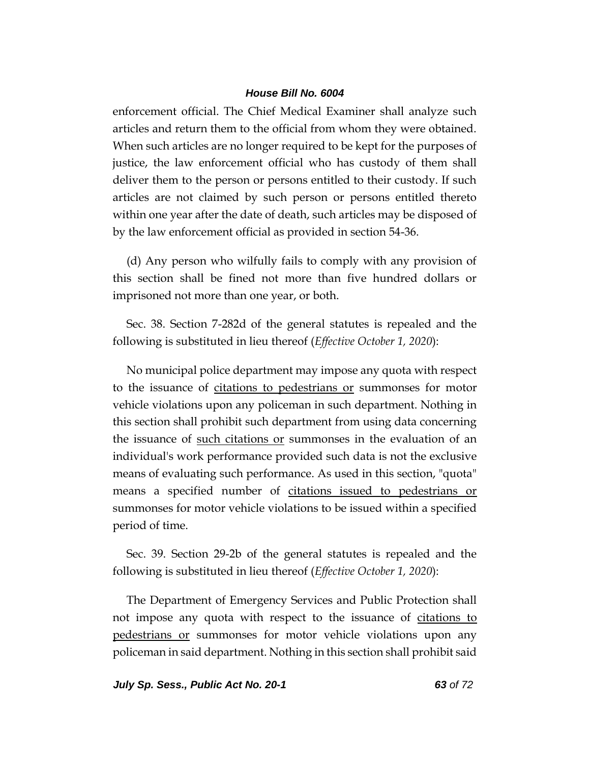enforcement official. The Chief Medical Examiner shall analyze such articles and return them to the official from whom they were obtained. When such articles are no longer required to be kept for the purposes of justice, the law enforcement official who has custody of them shall deliver them to the person or persons entitled to their custody. If such articles are not claimed by such person or persons entitled thereto within one year after the date of death, such articles may be disposed of by the law enforcement official as provided in section 54-36.

(d) Any person who wilfully fails to comply with any provision of this section shall be fined not more than five hundred dollars or imprisoned not more than one year, or both.

Sec. 38. Section 7-282d of the general statutes is repealed and the following is substituted in lieu thereof (*Effective October 1, 2020*):

No municipal police department may impose any quota with respect to the issuance of citations to pedestrians or summonses for motor vehicle violations upon any policeman in such department. Nothing in this section shall prohibit such department from using data concerning the issuance of such citations or summonses in the evaluation of an individual's work performance provided such data is not the exclusive means of evaluating such performance. As used in this section, "quota" means a specified number of citations issued to pedestrians or summonses for motor vehicle violations to be issued within a specified period of time.

Sec. 39. Section 29-2b of the general statutes is repealed and the following is substituted in lieu thereof (*Effective October 1, 2020*):

The Department of Emergency Services and Public Protection shall not impose any quota with respect to the issuance of <u>citations to</u> pedestrians or summonses for motor vehicle violations upon any policeman in said department. Nothing in this section shall prohibit said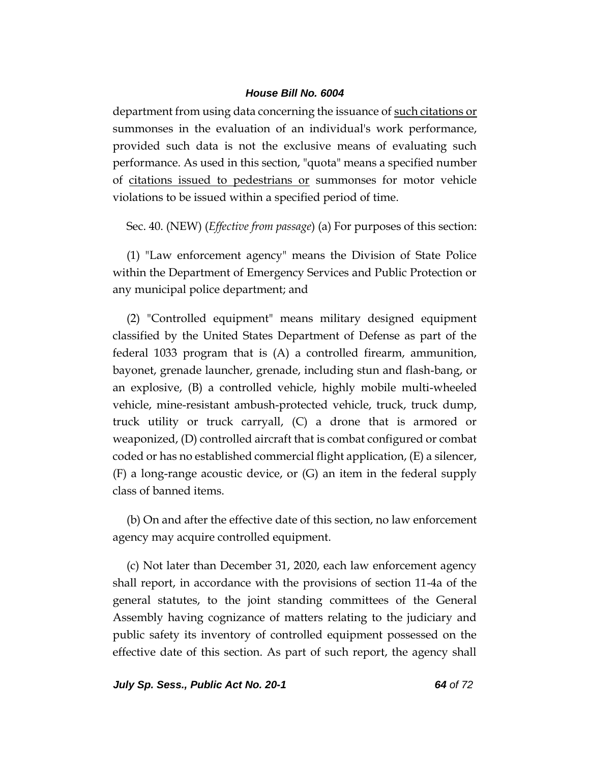department from using data concerning the issuance of such citations or summonses in the evaluation of an individual's work performance, provided such data is not the exclusive means of evaluating such performance. As used in this section, "quota" means a specified number of citations issued to pedestrians or summonses for motor vehicle violations to be issued within a specified period of time.

Sec. 40. (NEW) (*Effective from passage*) (a) For purposes of this section:

(1) "Law enforcement agency" means the Division of State Police within the Department of Emergency Services and Public Protection or any municipal police department; and

(2) "Controlled equipment" means military designed equipment classified by the United States Department of Defense as part of the federal 1033 program that is (A) a controlled firearm, ammunition, bayonet, grenade launcher, grenade, including stun and flash-bang, or an explosive, (B) a controlled vehicle, highly mobile multi-wheeled vehicle, mine-resistant ambush-protected vehicle, truck, truck dump, truck utility or truck carryall, (C) a drone that is armored or weaponized, (D) controlled aircraft that is combat configured or combat coded or has no established commercial flight application, (E) a silencer, (F) a long-range acoustic device, or (G) an item in the federal supply class of banned items.

(b) On and after the effective date of this section, no law enforcement agency may acquire controlled equipment.

(c) Not later than December 31, 2020, each law enforcement agency shall report, in accordance with the provisions of section 11-4a of the general statutes, to the joint standing committees of the General Assembly having cognizance of matters relating to the judiciary and public safety its inventory of controlled equipment possessed on the effective date of this section. As part of such report, the agency shall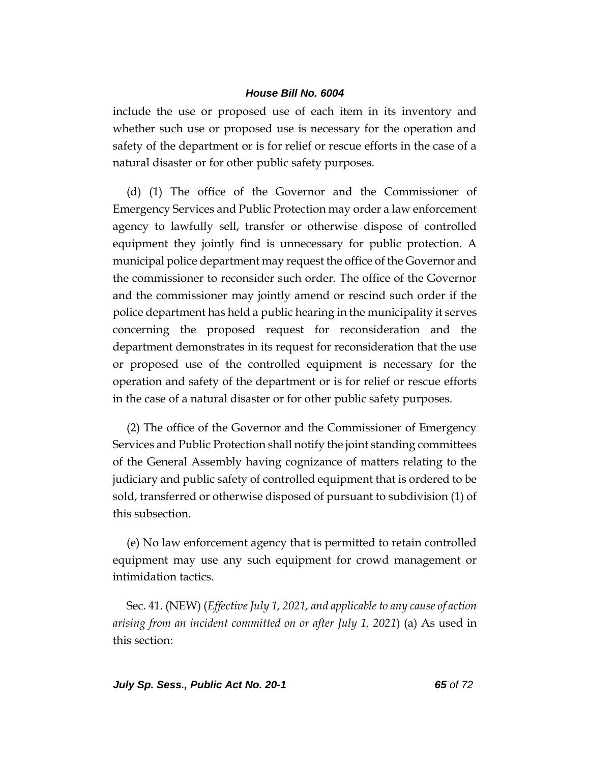include the use or proposed use of each item in its inventory and whether such use or proposed use is necessary for the operation and safety of the department or is for relief or rescue efforts in the case of a natural disaster or for other public safety purposes.

(d) (1) The office of the Governor and the Commissioner of Emergency Services and Public Protection may order a law enforcement agency to lawfully sell, transfer or otherwise dispose of controlled equipment they jointly find is unnecessary for public protection. A municipal police department may request the office of the Governor and the commissioner to reconsider such order. The office of the Governor and the commissioner may jointly amend or rescind such order if the police department has held a public hearing in the municipality it serves concerning the proposed request for reconsideration and the department demonstrates in its request for reconsideration that the use or proposed use of the controlled equipment is necessary for the operation and safety of the department or is for relief or rescue efforts in the case of a natural disaster or for other public safety purposes.

(2) The office of the Governor and the Commissioner of Emergency Services and Public Protection shall notify the joint standing committees of the General Assembly having cognizance of matters relating to the judiciary and public safety of controlled equipment that is ordered to be sold, transferred or otherwise disposed of pursuant to subdivision (1) of this subsection.

(e) No law enforcement agency that is permitted to retain controlled equipment may use any such equipment for crowd management or intimidation tactics.

Sec. 41. (NEW) (*Effective July 1, 2021, and applicable to any cause of action arising from an incident committed on or after July 1, 2021*) (a) As used in this section: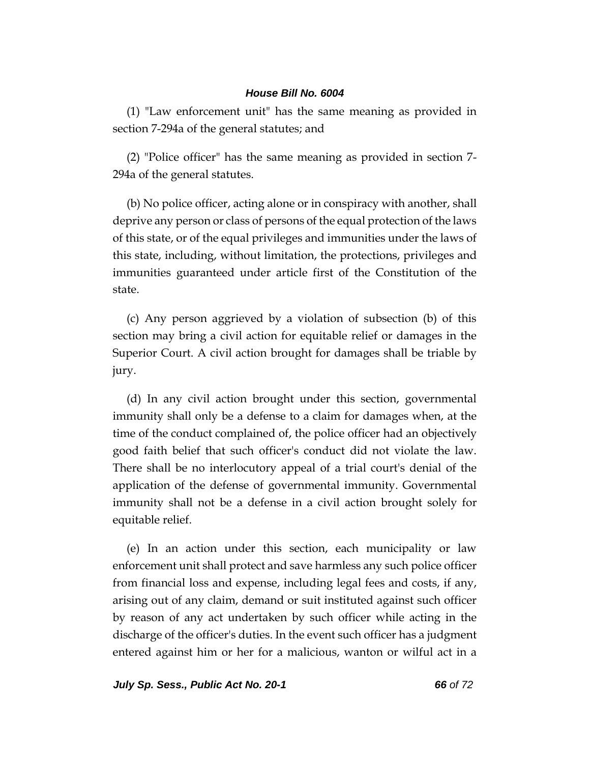(1) "Law enforcement unit" has the same meaning as provided in section 7-294a of the general statutes; and

(2) "Police officer" has the same meaning as provided in section 7- 294a of the general statutes.

(b) No police officer, acting alone or in conspiracy with another, shall deprive any person or class of persons of the equal protection of the laws of this state, or of the equal privileges and immunities under the laws of this state, including, without limitation, the protections, privileges and immunities guaranteed under article first of the Constitution of the state.

(c) Any person aggrieved by a violation of subsection (b) of this section may bring a civil action for equitable relief or damages in the Superior Court. A civil action brought for damages shall be triable by jury.

(d) In any civil action brought under this section, governmental immunity shall only be a defense to a claim for damages when, at the time of the conduct complained of, the police officer had an objectively good faith belief that such officer's conduct did not violate the law. There shall be no interlocutory appeal of a trial court's denial of the application of the defense of governmental immunity. Governmental immunity shall not be a defense in a civil action brought solely for equitable relief.

(e) In an action under this section, each municipality or law enforcement unit shall protect and save harmless any such police officer from financial loss and expense, including legal fees and costs, if any, arising out of any claim, demand or suit instituted against such officer by reason of any act undertaken by such officer while acting in the discharge of the officer's duties. In the event such officer has a judgment entered against him or her for a malicious, wanton or wilful act in a

*July Sp. Sess., Public Act No. 20-1 66 of 72*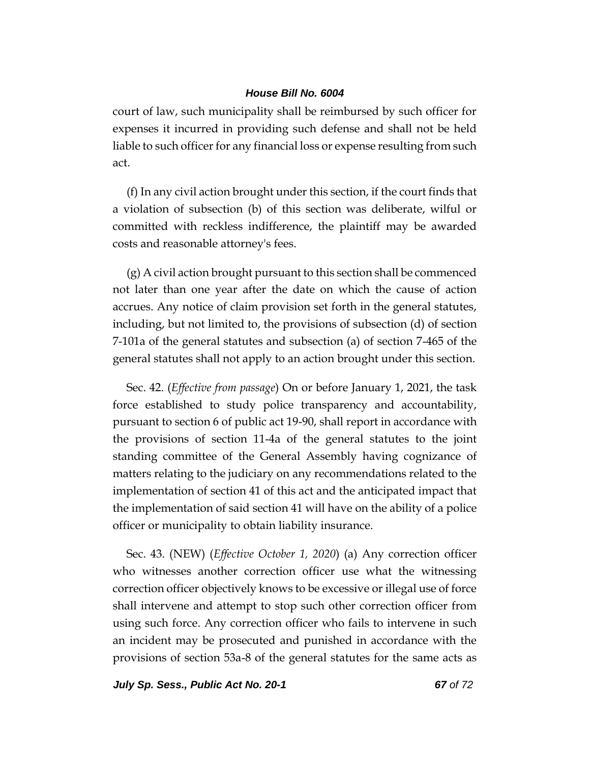court of law, such municipality shall be reimbursed by such officer for expenses it incurred in providing such defense and shall not be held liable to such officer for any financial loss or expense resulting from such act.

(f) In any civil action brought under this section, if the court finds that a violation of subsection (b) of this section was deliberate, wilful or committed with reckless indifference, the plaintiff may be awarded costs and reasonable attorney's fees.

(g) A civil action brought pursuant to this section shall be commenced not later than one year after the date on which the cause of action accrues. Any notice of claim provision set forth in the general statutes, including, but not limited to, the provisions of subsection (d) of section 7-101a of the general statutes and subsection (a) of section 7-465 of the general statutes shall not apply to an action brought under this section.

Sec. 42. (*Effective from passage*) On or before January 1, 2021, the task force established to study police transparency and accountability, pursuant to section 6 of public act 19-90, shall report in accordance with the provisions of section 11-4a of the general statutes to the joint standing committee of the General Assembly having cognizance of matters relating to the judiciary on any recommendations related to the implementation of section 41 of this act and the anticipated impact that the implementation of said section 41 will have on the ability of a police officer or municipality to obtain liability insurance.

Sec. 43. (NEW) (*Effective October 1, 2020*) (a) Any correction officer who witnesses another correction officer use what the witnessing correction officer objectively knows to be excessive or illegal use of force shall intervene and attempt to stop such other correction officer from using such force. Any correction officer who fails to intervene in such an incident may be prosecuted and punished in accordance with the provisions of section 53a-8 of the general statutes for the same acts as

*July Sp. Sess., Public Act No. 20-1 67 of 72*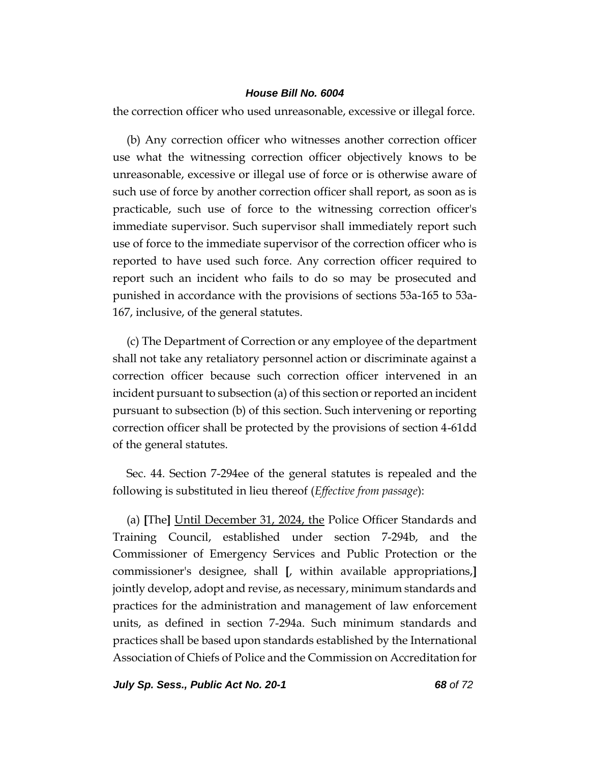the correction officer who used unreasonable, excessive or illegal force.

(b) Any correction officer who witnesses another correction officer use what the witnessing correction officer objectively knows to be unreasonable, excessive or illegal use of force or is otherwise aware of such use of force by another correction officer shall report, as soon as is practicable, such use of force to the witnessing correction officer's immediate supervisor. Such supervisor shall immediately report such use of force to the immediate supervisor of the correction officer who is reported to have used such force. Any correction officer required to report such an incident who fails to do so may be prosecuted and punished in accordance with the provisions of sections 53a-165 to 53a-167, inclusive, of the general statutes.

(c) The Department of Correction or any employee of the department shall not take any retaliatory personnel action or discriminate against a correction officer because such correction officer intervened in an incident pursuant to subsection (a) of this section or reported an incident pursuant to subsection (b) of this section. Such intervening or reporting correction officer shall be protected by the provisions of section 4-61dd of the general statutes.

Sec. 44. Section 7-294ee of the general statutes is repealed and the following is substituted in lieu thereof (*Effective from passage*):

(a) **[**The**]** Until December 31, 2024, the Police Officer Standards and Training Council, established under section 7-294b, and the Commissioner of Emergency Services and Public Protection or the commissioner's designee, shall **[**, within available appropriations,**]** jointly develop, adopt and revise, as necessary, minimum standards and practices for the administration and management of law enforcement units, as defined in section 7-294a. Such minimum standards and practices shall be based upon standards established by the International Association of Chiefs of Police and the Commission on Accreditation for

*July Sp. Sess., Public Act No. 20-1 68 of 72*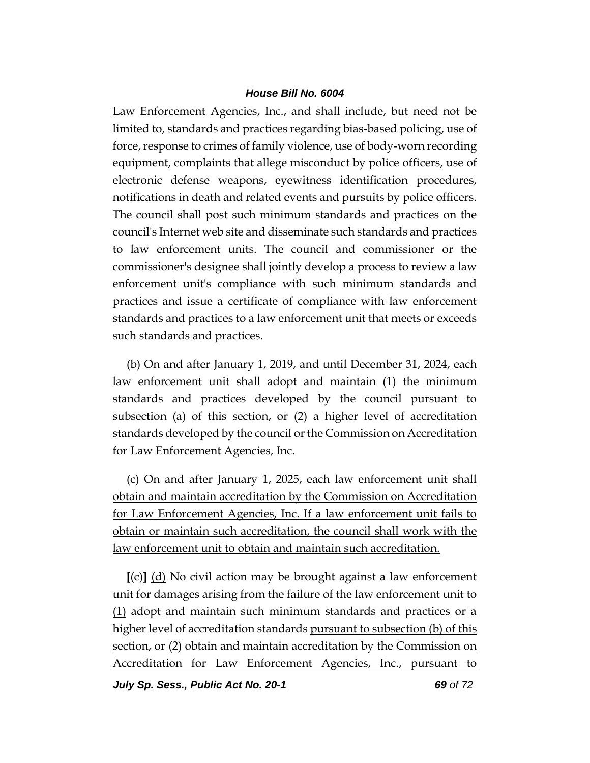Law Enforcement Agencies, Inc., and shall include, but need not be limited to, standards and practices regarding bias-based policing, use of force, response to crimes of family violence, use of body-worn recording equipment, complaints that allege misconduct by police officers, use of electronic defense weapons, eyewitness identification procedures, notifications in death and related events and pursuits by police officers. The council shall post such minimum standards and practices on the council's Internet web site and disseminate such standards and practices to law enforcement units. The council and commissioner or the commissioner's designee shall jointly develop a process to review a law enforcement unit's compliance with such minimum standards and practices and issue a certificate of compliance with law enforcement standards and practices to a law enforcement unit that meets or exceeds such standards and practices.

(b) On and after January 1, 2019, and until December 31, 2024, each law enforcement unit shall adopt and maintain (1) the minimum standards and practices developed by the council pursuant to subsection (a) of this section, or (2) a higher level of accreditation standards developed by the council or the Commission on Accreditation for Law Enforcement Agencies, Inc.

(c) On and after January 1, 2025, each law enforcement unit shall obtain and maintain accreditation by the Commission on Accreditation for Law Enforcement Agencies, Inc. If a law enforcement unit fails to obtain or maintain such accreditation, the council shall work with the law enforcement unit to obtain and maintain such accreditation.

**[**(c)**]** (d) No civil action may be brought against a law enforcement unit for damages arising from the failure of the law enforcement unit to (1) adopt and maintain such minimum standards and practices or a higher level of accreditation standards pursuant to subsection (b) of this section, or (2) obtain and maintain accreditation by the Commission on Accreditation for Law Enforcement Agencies, Inc., pursuant to

*July Sp. Sess., Public Act No. 20-1 69 of 72*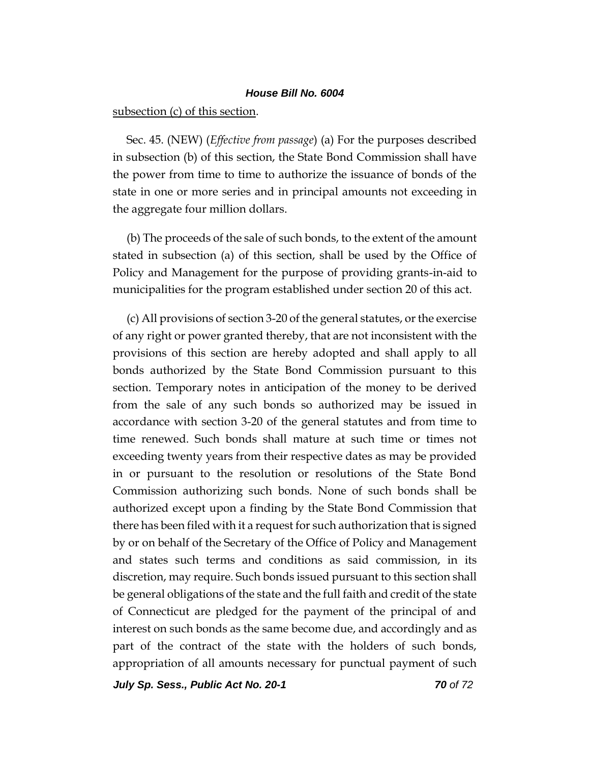subsection (c) of this section.

Sec. 45. (NEW) (*Effective from passage*) (a) For the purposes described in subsection (b) of this section, the State Bond Commission shall have the power from time to time to authorize the issuance of bonds of the state in one or more series and in principal amounts not exceeding in the aggregate four million dollars.

(b) The proceeds of the sale of such bonds, to the extent of the amount stated in subsection (a) of this section, shall be used by the Office of Policy and Management for the purpose of providing grants-in-aid to municipalities for the program established under section 20 of this act.

(c) All provisions of section 3-20 of the general statutes, or the exercise of any right or power granted thereby, that are not inconsistent with the provisions of this section are hereby adopted and shall apply to all bonds authorized by the State Bond Commission pursuant to this section. Temporary notes in anticipation of the money to be derived from the sale of any such bonds so authorized may be issued in accordance with section 3-20 of the general statutes and from time to time renewed. Such bonds shall mature at such time or times not exceeding twenty years from their respective dates as may be provided in or pursuant to the resolution or resolutions of the State Bond Commission authorizing such bonds. None of such bonds shall be authorized except upon a finding by the State Bond Commission that there has been filed with it a request for such authorization that is signed by or on behalf of the Secretary of the Office of Policy and Management and states such terms and conditions as said commission, in its discretion, may require. Such bonds issued pursuant to this section shall be general obligations of the state and the full faith and credit of the state of Connecticut are pledged for the payment of the principal of and interest on such bonds as the same become due, and accordingly and as part of the contract of the state with the holders of such bonds, appropriation of all amounts necessary for punctual payment of such

*July Sp. Sess., Public Act No. 20-1 70 of 72*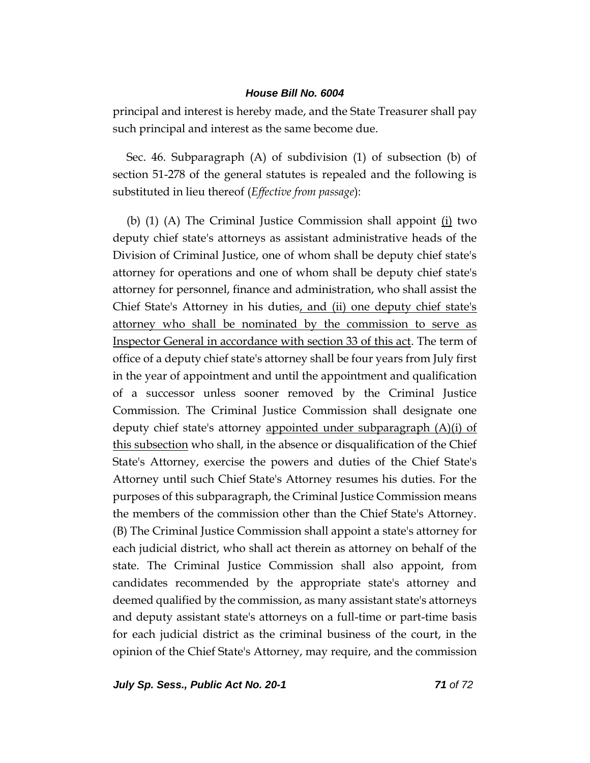principal and interest is hereby made, and the State Treasurer shall pay such principal and interest as the same become due.

Sec. 46. Subparagraph (A) of subdivision (1) of subsection (b) of section 51-278 of the general statutes is repealed and the following is substituted in lieu thereof (*Effective from passage*):

(b) (1) (A) The Criminal Justice Commission shall appoint (i) two deputy chief state's attorneys as assistant administrative heads of the Division of Criminal Justice, one of whom shall be deputy chief state's attorney for operations and one of whom shall be deputy chief state's attorney for personnel, finance and administration, who shall assist the Chief State's Attorney in his duties, and (ii) one deputy chief state's attorney who shall be nominated by the commission to serve as Inspector General in accordance with section 33 of this act. The term of office of a deputy chief state's attorney shall be four years from July first in the year of appointment and until the appointment and qualification of a successor unless sooner removed by the Criminal Justice Commission. The Criminal Justice Commission shall designate one deputy chief state's attorney appointed under subparagraph (A)(i) of this subsection who shall, in the absence or disqualification of the Chief State's Attorney, exercise the powers and duties of the Chief State's Attorney until such Chief State's Attorney resumes his duties. For the purposes of this subparagraph, the Criminal Justice Commission means the members of the commission other than the Chief State's Attorney. (B) The Criminal Justice Commission shall appoint a state's attorney for each judicial district, who shall act therein as attorney on behalf of the state. The Criminal Justice Commission shall also appoint, from candidates recommended by the appropriate state's attorney and deemed qualified by the commission, as many assistant state's attorneys and deputy assistant state's attorneys on a full-time or part-time basis for each judicial district as the criminal business of the court, in the opinion of the Chief State's Attorney, may require, and the commission

*July Sp. Sess., Public Act No. 20-1 71 of 72*